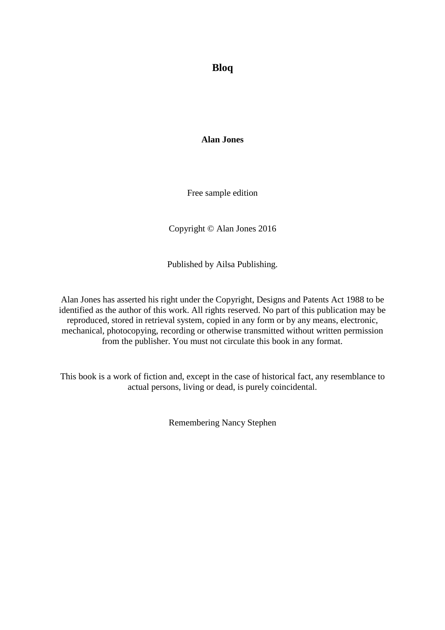**Bloq**

**Alan Jones**

Free sample edition

Copyright © Alan Jones 2016

Published by Ailsa Publishing.

Alan Jones has asserted his right under the Copyright, Designs and Patents Act 1988 to be identified as the author of this work. All rights reserved. No part of this publication may be reproduced, stored in retrieval system, copied in any form or by any means, electronic, mechanical, photocopying, recording or otherwise transmitted without written permission from the publisher. You must not circulate this book in any format.

This book is a work of fiction and, except in the case of historical fact, any resemblance to actual persons, living or dead, is purely coincidental.

Remembering Nancy Stephen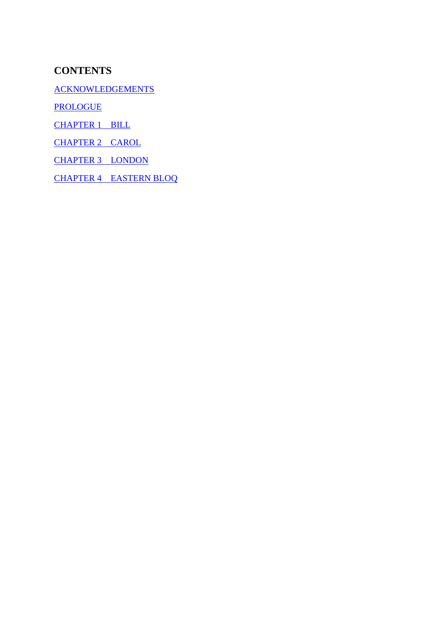#### **CONTENTS**

[ACKNOWLEDGEMENTS](#page-2-0)

**[PROLOGUE](#page-3-0)** 

[CHAPTER 1 BILL](#page-5-0)

[CHAPTER 2 CAROL](#page-15-0)

[CHAPTER 3 LONDON](#page-25-0)

[CHAPTER 4 EASTERN BLOQ](#page-30-0)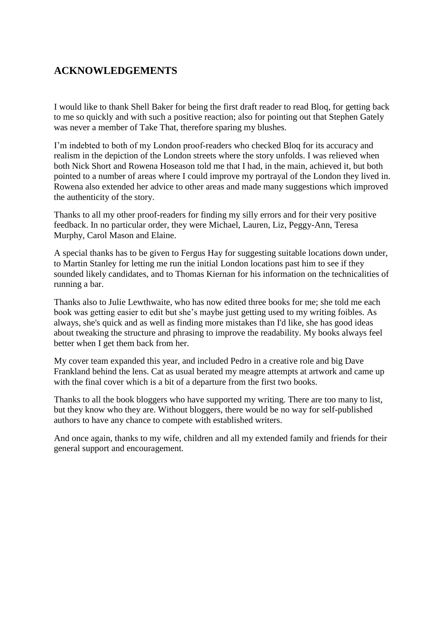#### <span id="page-2-0"></span>**ACKNOWLEDGEMENTS**

I would like to thank Shell Baker for being the first draft reader to read Bloq, for getting back to me so quickly and with such a positive reaction; also for pointing out that Stephen Gately was never a member of Take That, therefore sparing my blushes.

I'm indebted to both of my London proof-readers who checked Bloq for its accuracy and realism in the depiction of the London streets where the story unfolds. I was relieved when both Nick Short and Rowena Hoseason told me that I had, in the main, achieved it, but both pointed to a number of areas where I could improve my portrayal of the London they lived in. Rowena also extended her advice to other areas and made many suggestions which improved the authenticity of the story.

Thanks to all my other proof-readers for finding my silly errors and for their very positive feedback. In no particular order, they were Michael, Lauren, Liz, Peggy-Ann, Teresa Murphy, Carol Mason and Elaine.

A special thanks has to be given to Fergus Hay for suggesting suitable locations down under, to Martin Stanley for letting me run the initial London locations past him to see if they sounded likely candidates, and to Thomas Kiernan for his information on the technicalities of running a bar.

Thanks also to Julie Lewthwaite, who has now edited three books for me; she told me each book was getting easier to edit but she's maybe just getting used to my writing foibles. As always, she's quick and as well as finding more mistakes than I'd like, she has good ideas about tweaking the structure and phrasing to improve the readability. My books always feel better when I get them back from her.

My cover team expanded this year, and included Pedro in a creative role and big Dave Frankland behind the lens. Cat as usual berated my meagre attempts at artwork and came up with the final cover which is a bit of a departure from the first two books.

Thanks to all the book bloggers who have supported my writing. There are too many to list, but they know who they are. Without bloggers, there would be no way for self-published authors to have any chance to compete with established writers.

And once again, thanks to my wife, children and all my extended family and friends for their general support and encouragement.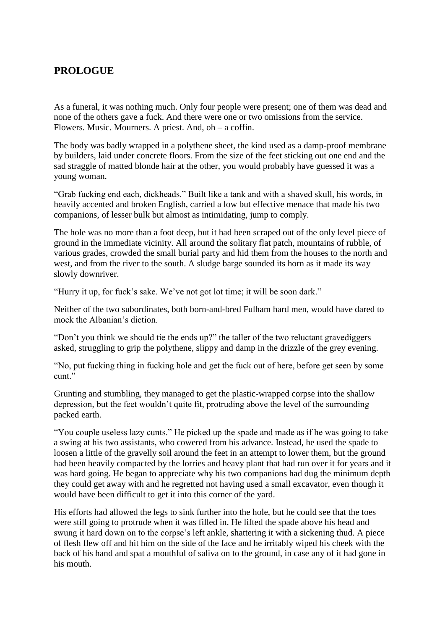#### <span id="page-3-0"></span>**PROLOGUE**

As a funeral, it was nothing much. Only four people were present; one of them was dead and none of the others gave a fuck. And there were one or two omissions from the service. Flowers. Music. Mourners. A priest. And, oh – a coffin.

The body was badly wrapped in a polythene sheet, the kind used as a damp-proof membrane by builders, laid under concrete floors. From the size of the feet sticking out one end and the sad straggle of matted blonde hair at the other, you would probably have guessed it was a young woman.

"Grab fucking end each, dickheads." Built like a tank and with a shaved skull, his words, in heavily accented and broken English, carried a low but effective menace that made his two companions, of lesser bulk but almost as intimidating, jump to comply.

The hole was no more than a foot deep, but it had been scraped out of the only level piece of ground in the immediate vicinity. All around the solitary flat patch, mountains of rubble, of various grades, crowded the small burial party and hid them from the houses to the north and west, and from the river to the south. A sludge barge sounded its horn as it made its way slowly downriver.

"Hurry it up, for fuck's sake. We've not got lot time; it will be soon dark."

Neither of the two subordinates, both born-and-bred Fulham hard men, would have dared to mock the Albanian's diction.

"Don't you think we should tie the ends up?" the taller of the two reluctant gravediggers asked, struggling to grip the polythene, slippy and damp in the drizzle of the grey evening.

"No, put fucking thing in fucking hole and get the fuck out of here, before get seen by some cunt<sup>"</sup>

Grunting and stumbling, they managed to get the plastic-wrapped corpse into the shallow depression, but the feet wouldn't quite fit, protruding above the level of the surrounding packed earth.

"You couple useless lazy cunts." He picked up the spade and made as if he was going to take a swing at his two assistants, who cowered from his advance. Instead, he used the spade to loosen a little of the gravelly soil around the feet in an attempt to lower them, but the ground had been heavily compacted by the lorries and heavy plant that had run over it for years and it was hard going. He began to appreciate why his two companions had dug the minimum depth they could get away with and he regretted not having used a small excavator, even though it would have been difficult to get it into this corner of the yard.

His efforts had allowed the legs to sink further into the hole, but he could see that the toes were still going to protrude when it was filled in. He lifted the spade above his head and swung it hard down on to the corpse's left ankle, shattering it with a sickening thud. A piece of flesh flew off and hit him on the side of the face and he irritably wiped his cheek with the back of his hand and spat a mouthful of saliva on to the ground, in case any of it had gone in his mouth.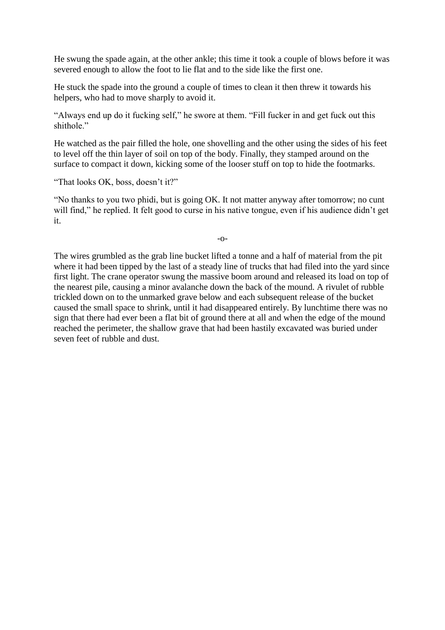He swung the spade again, at the other ankle; this time it took a couple of blows before it was severed enough to allow the foot to lie flat and to the side like the first one.

He stuck the spade into the ground a couple of times to clean it then threw it towards his helpers, who had to move sharply to avoid it.

"Always end up do it fucking self," he swore at them. "Fill fucker in and get fuck out this shithole."

He watched as the pair filled the hole, one shovelling and the other using the sides of his feet to level off the thin layer of soil on top of the body. Finally, they stamped around on the surface to compact it down, kicking some of the looser stuff on top to hide the footmarks.

"That looks OK, boss, doesn't it?"

"No thanks to you two phidi, but is going OK. It not matter anyway after tomorrow; no cunt will find," he replied. It felt good to curse in his native tongue, even if his audience didn't get it.

-o-

The wires grumbled as the grab line bucket lifted a tonne and a half of material from the pit where it had been tipped by the last of a steady line of trucks that had filed into the yard since first light. The crane operator swung the massive boom around and released its load on top of the nearest pile, causing a minor avalanche down the back of the mound. A rivulet of rubble trickled down on to the unmarked grave below and each subsequent release of the bucket caused the small space to shrink, until it had disappeared entirely. By lunchtime there was no sign that there had ever been a flat bit of ground there at all and when the edge of the mound reached the perimeter, the shallow grave that had been hastily excavated was buried under seven feet of rubble and dust.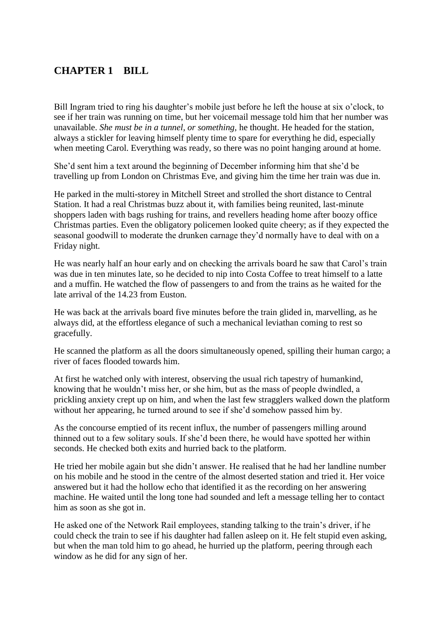### <span id="page-5-0"></span>**CHAPTER 1 BILL**

Bill Ingram tried to ring his daughter's mobile just before he left the house at six o'clock, to see if her train was running on time, but her voicemail message told him that her number was unavailable. *She must be in a tunnel, or something,* he thought. He headed for the station, always a stickler for leaving himself plenty time to spare for everything he did, especially when meeting Carol. Everything was ready, so there was no point hanging around at home.

She'd sent him a text around the beginning of December informing him that she'd be travelling up from London on Christmas Eve, and giving him the time her train was due in.

He parked in the multi-storey in Mitchell Street and strolled the short distance to Central Station. It had a real Christmas buzz about it, with families being reunited, last-minute shoppers laden with bags rushing for trains, and revellers heading home after boozy office Christmas parties. Even the obligatory policemen looked quite cheery; as if they expected the seasonal goodwill to moderate the drunken carnage they'd normally have to deal with on a Friday night.

He was nearly half an hour early and on checking the arrivals board he saw that Carol's train was due in ten minutes late, so he decided to nip into Costa Coffee to treat himself to a latte and a muffin. He watched the flow of passengers to and from the trains as he waited for the late arrival of the 14.23 from Euston.

He was back at the arrivals board five minutes before the train glided in, marvelling, as he always did, at the effortless elegance of such a mechanical leviathan coming to rest so gracefully.

He scanned the platform as all the doors simultaneously opened, spilling their human cargo; a river of faces flooded towards him.

At first he watched only with interest, observing the usual rich tapestry of humankind, knowing that he wouldn't miss her, or she him, but as the mass of people dwindled, a prickling anxiety crept up on him, and when the last few stragglers walked down the platform without her appearing, he turned around to see if she'd somehow passed him by.

As the concourse emptied of its recent influx, the number of passengers milling around thinned out to a few solitary souls. If she'd been there, he would have spotted her within seconds. He checked both exits and hurried back to the platform.

He tried her mobile again but she didn't answer. He realised that he had her landline number on his mobile and he stood in the centre of the almost deserted station and tried it. Her voice answered but it had the hollow echo that identified it as the recording on her answering machine. He waited until the long tone had sounded and left a message telling her to contact him as soon as she got in.

He asked one of the Network Rail employees, standing talking to the train's driver, if he could check the train to see if his daughter had fallen asleep on it. He felt stupid even asking, but when the man told him to go ahead, he hurried up the platform, peering through each window as he did for any sign of her.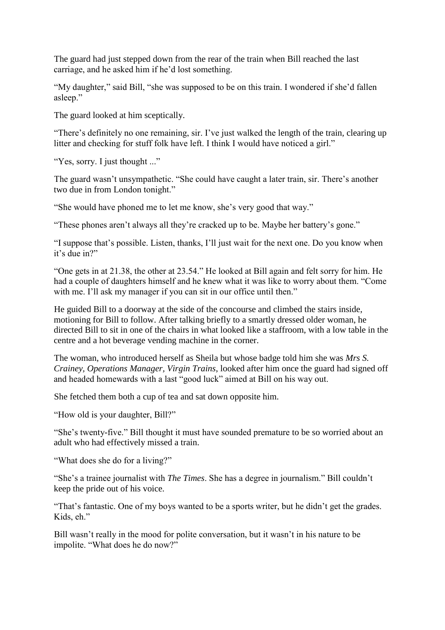The guard had just stepped down from the rear of the train when Bill reached the last carriage, and he asked him if he'd lost something.

"My daughter," said Bill, "she was supposed to be on this train. I wondered if she'd fallen asleep."

The guard looked at him sceptically.

"There's definitely no one remaining, sir. I've just walked the length of the train, clearing up litter and checking for stuff folk have left. I think I would have noticed a girl."

"Yes, sorry. I just thought ..."

The guard wasn't unsympathetic. "She could have caught a later train, sir. There's another two due in from London tonight."

"She would have phoned me to let me know, she's very good that way."

"These phones aren't always all they're cracked up to be. Maybe her battery's gone."

"I suppose that's possible. Listen, thanks, I'll just wait for the next one. Do you know when it's due in?"

"One gets in at 21.38, the other at 23.54." He looked at Bill again and felt sorry for him. He had a couple of daughters himself and he knew what it was like to worry about them. "Come with me. I'll ask my manager if you can sit in our office until then."

He guided Bill to a doorway at the side of the concourse and climbed the stairs inside, motioning for Bill to follow. After talking briefly to a smartly dressed older woman, he directed Bill to sit in one of the chairs in what looked like a staffroom, with a low table in the centre and a hot beverage vending machine in the corner.

The woman, who introduced herself as Sheila but whose badge told him she was *Mrs S. Crainey, Operations Manager, Virgin Trains*, looked after him once the guard had signed off and headed homewards with a last "good luck" aimed at Bill on his way out.

She fetched them both a cup of tea and sat down opposite him.

"How old is your daughter, Bill?"

"She's twenty-five." Bill thought it must have sounded premature to be so worried about an adult who had effectively missed a train.

"What does she do for a living?"

"She's a trainee journalist with *The Times*. She has a degree in journalism." Bill couldn't keep the pride out of his voice.

"That's fantastic. One of my boys wanted to be a sports writer, but he didn't get the grades. Kids, eh."

Bill wasn't really in the mood for polite conversation, but it wasn't in his nature to be impolite. "What does he do now?"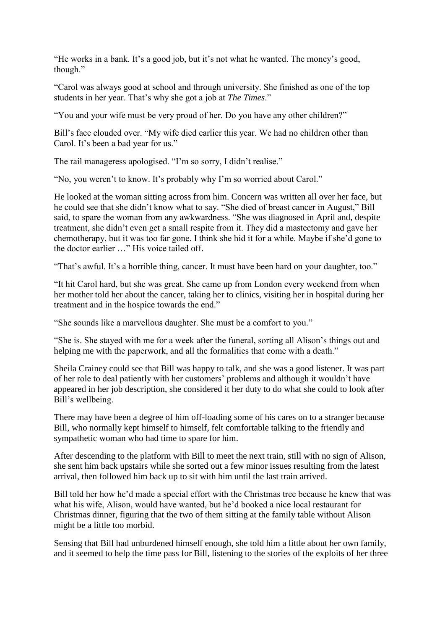"He works in a bank. It's a good job, but it's not what he wanted. The money's good, though."

"Carol was always good at school and through university. She finished as one of the top students in her year. That's why she got a job at *The Times*."

"You and your wife must be very proud of her. Do you have any other children?"

Bill's face clouded over. "My wife died earlier this year. We had no children other than Carol. It's been a bad year for us."

The rail manageress apologised. "I'm so sorry, I didn't realise."

"No, you weren't to know. It's probably why I'm so worried about Carol."

He looked at the woman sitting across from him. Concern was written all over her face, but he could see that she didn't know what to say. "She died of breast cancer in August," Bill said, to spare the woman from any awkwardness. "She was diagnosed in April and, despite treatment, she didn't even get a small respite from it. They did a mastectomy and gave her chemotherapy, but it was too far gone. I think she hid it for a while. Maybe if she'd gone to the doctor earlier …" His voice tailed off.

"That's awful. It's a horrible thing, cancer. It must have been hard on your daughter, too."

"It hit Carol hard, but she was great. She came up from London every weekend from when her mother told her about the cancer, taking her to clinics, visiting her in hospital during her treatment and in the hospice towards the end."

"She sounds like a marvellous daughter. She must be a comfort to you."

"She is. She stayed with me for a week after the funeral, sorting all Alison's things out and helping me with the paperwork, and all the formalities that come with a death."

Sheila Crainey could see that Bill was happy to talk, and she was a good listener. It was part of her role to deal patiently with her customers' problems and although it wouldn't have appeared in her job description, she considered it her duty to do what she could to look after Bill's wellbeing.

There may have been a degree of him off-loading some of his cares on to a stranger because Bill, who normally kept himself to himself, felt comfortable talking to the friendly and sympathetic woman who had time to spare for him.

After descending to the platform with Bill to meet the next train, still with no sign of Alison, she sent him back upstairs while she sorted out a few minor issues resulting from the latest arrival, then followed him back up to sit with him until the last train arrived.

Bill told her how he'd made a special effort with the Christmas tree because he knew that was what his wife, Alison, would have wanted, but he'd booked a nice local restaurant for Christmas dinner, figuring that the two of them sitting at the family table without Alison might be a little too morbid.

Sensing that Bill had unburdened himself enough, she told him a little about her own family, and it seemed to help the time pass for Bill, listening to the stories of the exploits of her three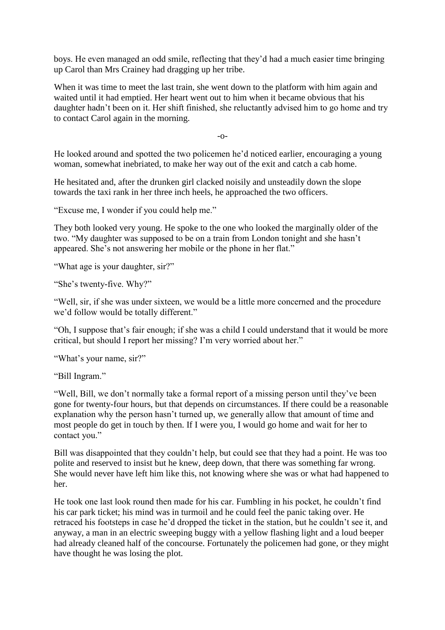boys. He even managed an odd smile, reflecting that they'd had a much easier time bringing up Carol than Mrs Crainey had dragging up her tribe.

When it was time to meet the last train, she went down to the platform with him again and waited until it had emptied. Her heart went out to him when it became obvious that his daughter hadn't been on it. Her shift finished, she reluctantly advised him to go home and try to contact Carol again in the morning.

-o-

He looked around and spotted the two policemen he'd noticed earlier, encouraging a young woman, somewhat inebriated, to make her way out of the exit and catch a cab home.

He hesitated and, after the drunken girl clacked noisily and unsteadily down the slope towards the taxi rank in her three inch heels, he approached the two officers.

"Excuse me, I wonder if you could help me."

They both looked very young. He spoke to the one who looked the marginally older of the two. "My daughter was supposed to be on a train from London tonight and she hasn't appeared. She's not answering her mobile or the phone in her flat."

"What age is your daughter, sir?"

"She's twenty-five. Why?"

"Well, sir, if she was under sixteen, we would be a little more concerned and the procedure we'd follow would be totally different."

"Oh, I suppose that's fair enough; if she was a child I could understand that it would be more critical, but should I report her missing? I'm very worried about her."

"What's your name, sir?"

"Bill Ingram."

"Well, Bill, we don't normally take a formal report of a missing person until they've been gone for twenty-four hours, but that depends on circumstances. If there could be a reasonable explanation why the person hasn't turned up, we generally allow that amount of time and most people do get in touch by then. If I were you, I would go home and wait for her to contact you."

Bill was disappointed that they couldn't help, but could see that they had a point. He was too polite and reserved to insist but he knew, deep down, that there was something far wrong. She would never have left him like this, not knowing where she was or what had happened to her.

He took one last look round then made for his car. Fumbling in his pocket, he couldn't find his car park ticket; his mind was in turmoil and he could feel the panic taking over. He retraced his footsteps in case he'd dropped the ticket in the station, but he couldn't see it, and anyway, a man in an electric sweeping buggy with a yellow flashing light and a loud beeper had already cleaned half of the concourse. Fortunately the policemen had gone, or they might have thought he was losing the plot.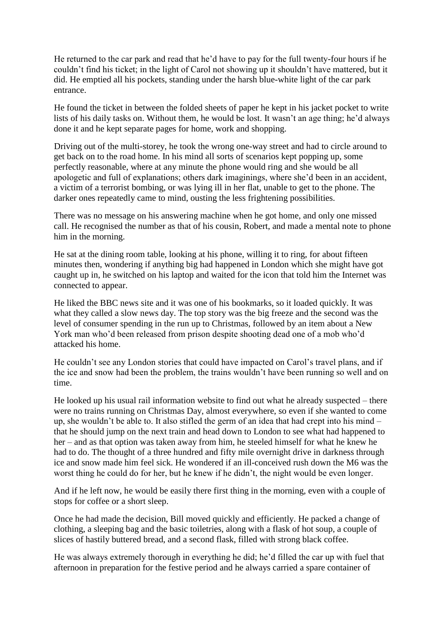He returned to the car park and read that he'd have to pay for the full twenty-four hours if he couldn't find his ticket; in the light of Carol not showing up it shouldn't have mattered, but it did. He emptied all his pockets, standing under the harsh blue-white light of the car park entrance.

He found the ticket in between the folded sheets of paper he kept in his jacket pocket to write lists of his daily tasks on. Without them, he would be lost. It wasn't an age thing; he'd always done it and he kept separate pages for home, work and shopping.

Driving out of the multi-storey, he took the wrong one-way street and had to circle around to get back on to the road home. In his mind all sorts of scenarios kept popping up, some perfectly reasonable, where at any minute the phone would ring and she would be all apologetic and full of explanations; others dark imaginings, where she'd been in an accident, a victim of a terrorist bombing, or was lying ill in her flat, unable to get to the phone. The darker ones repeatedly came to mind, ousting the less frightening possibilities.

There was no message on his answering machine when he got home, and only one missed call. He recognised the number as that of his cousin, Robert, and made a mental note to phone him in the morning.

He sat at the dining room table, looking at his phone, willing it to ring, for about fifteen minutes then, wondering if anything big had happened in London which she might have got caught up in, he switched on his laptop and waited for the icon that told him the Internet was connected to appear.

He liked the BBC news site and it was one of his bookmarks, so it loaded quickly. It was what they called a slow news day. The top story was the big freeze and the second was the level of consumer spending in the run up to Christmas, followed by an item about a New York man who'd been released from prison despite shooting dead one of a mob who'd attacked his home.

He couldn't see any London stories that could have impacted on Carol's travel plans, and if the ice and snow had been the problem, the trains wouldn't have been running so well and on time.

He looked up his usual rail information website to find out what he already suspected – there were no trains running on Christmas Day, almost everywhere, so even if she wanted to come up, she wouldn't be able to. It also stifled the germ of an idea that had crept into his mind – that he should jump on the next train and head down to London to see what had happened to her – and as that option was taken away from him, he steeled himself for what he knew he had to do. The thought of a three hundred and fifty mile overnight drive in darkness through ice and snow made him feel sick. He wondered if an ill-conceived rush down the M6 was the worst thing he could do for her, but he knew if he didn't, the night would be even longer.

And if he left now, he would be easily there first thing in the morning, even with a couple of stops for coffee or a short sleep.

Once he had made the decision, Bill moved quickly and efficiently. He packed a change of clothing, a sleeping bag and the basic toiletries, along with a flask of hot soup, a couple of slices of hastily buttered bread, and a second flask, filled with strong black coffee.

He was always extremely thorough in everything he did; he'd filled the car up with fuel that afternoon in preparation for the festive period and he always carried a spare container of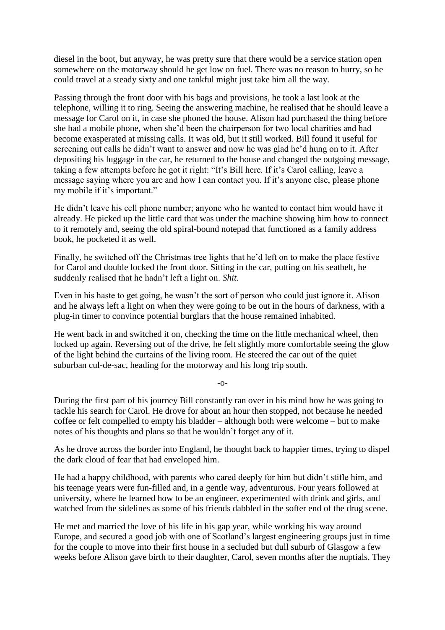diesel in the boot, but anyway, he was pretty sure that there would be a service station open somewhere on the motorway should he get low on fuel. There was no reason to hurry, so he could travel at a steady sixty and one tankful might just take him all the way.

Passing through the front door with his bags and provisions, he took a last look at the telephone, willing it to ring. Seeing the answering machine, he realised that he should leave a message for Carol on it, in case she phoned the house. Alison had purchased the thing before she had a mobile phone, when she'd been the chairperson for two local charities and had become exasperated at missing calls. It was old, but it still worked. Bill found it useful for screening out calls he didn't want to answer and now he was glad he'd hung on to it. After depositing his luggage in the car, he returned to the house and changed the outgoing message, taking a few attempts before he got it right: "It's Bill here. If it's Carol calling, leave a message saying where you are and how I can contact you. If it's anyone else, please phone my mobile if it's important."

He didn't leave his cell phone number; anyone who he wanted to contact him would have it already. He picked up the little card that was under the machine showing him how to connect to it remotely and, seeing the old spiral-bound notepad that functioned as a family address book, he pocketed it as well.

Finally, he switched off the Christmas tree lights that he'd left on to make the place festive for Carol and double locked the front door. Sitting in the car, putting on his seatbelt, he suddenly realised that he hadn't left a light on. *Shit.*

Even in his haste to get going, he wasn't the sort of person who could just ignore it. Alison and he always left a light on when they were going to be out in the hours of darkness, with a plug-in timer to convince potential burglars that the house remained inhabited.

He went back in and switched it on, checking the time on the little mechanical wheel, then locked up again. Reversing out of the drive, he felt slightly more comfortable seeing the glow of the light behind the curtains of the living room. He steered the car out of the quiet suburban cul-de-sac, heading for the motorway and his long trip south.

-o-

During the first part of his journey Bill constantly ran over in his mind how he was going to tackle his search for Carol. He drove for about an hour then stopped, not because he needed coffee or felt compelled to empty his bladder – although both were welcome – but to make notes of his thoughts and plans so that he wouldn't forget any of it.

As he drove across the border into England, he thought back to happier times, trying to dispel the dark cloud of fear that had enveloped him.

He had a happy childhood, with parents who cared deeply for him but didn't stifle him, and his teenage years were fun-filled and, in a gentle way, adventurous. Four years followed at university, where he learned how to be an engineer, experimented with drink and girls, and watched from the sidelines as some of his friends dabbled in the softer end of the drug scene.

He met and married the love of his life in his gap year, while working his way around Europe, and secured a good job with one of Scotland's largest engineering groups just in time for the couple to move into their first house in a secluded but dull suburb of Glasgow a few weeks before Alison gave birth to their daughter, Carol, seven months after the nuptials. They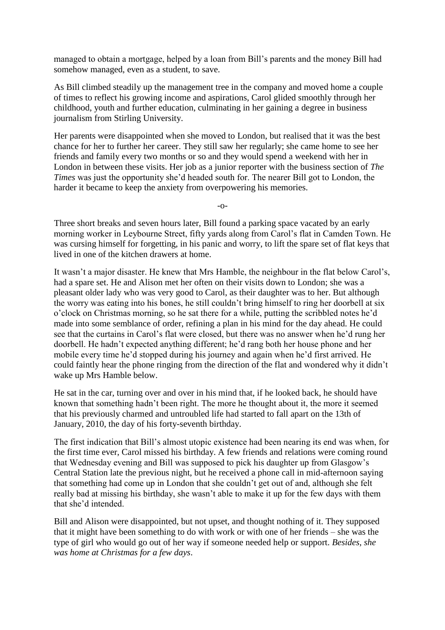managed to obtain a mortgage, helped by a loan from Bill's parents and the money Bill had somehow managed, even as a student, to save.

As Bill climbed steadily up the management tree in the company and moved home a couple of times to reflect his growing income and aspirations, Carol glided smoothly through her childhood, youth and further education, culminating in her gaining a degree in business journalism from Stirling University.

Her parents were disappointed when she moved to London, but realised that it was the best chance for her to further her career. They still saw her regularly; she came home to see her friends and family every two months or so and they would spend a weekend with her in London in between these visits. Her job as a junior reporter with the business section of *The Times* was just the opportunity she'd headed south for. The nearer Bill got to London, the harder it became to keep the anxiety from overpowering his memories.

-o-

Three short breaks and seven hours later, Bill found a parking space vacated by an early morning worker in Leybourne Street, fifty yards along from Carol's flat in Camden Town. He was cursing himself for forgetting, in his panic and worry, to lift the spare set of flat keys that lived in one of the kitchen drawers at home.

It wasn't a major disaster. He knew that Mrs Hamble, the neighbour in the flat below Carol's, had a spare set. He and Alison met her often on their visits down to London; she was a pleasant older lady who was very good to Carol, as their daughter was to her. But although the worry was eating into his bones, he still couldn't bring himself to ring her doorbell at six o'clock on Christmas morning, so he sat there for a while, putting the scribbled notes he'd made into some semblance of order, refining a plan in his mind for the day ahead. He could see that the curtains in Carol's flat were closed, but there was no answer when he'd rung her doorbell. He hadn't expected anything different; he'd rang both her house phone and her mobile every time he'd stopped during his journey and again when he'd first arrived. He could faintly hear the phone ringing from the direction of the flat and wondered why it didn't wake up Mrs Hamble below.

He sat in the car, turning over and over in his mind that, if he looked back, he should have known that something hadn't been right. The more he thought about it, the more it seemed that his previously charmed and untroubled life had started to fall apart on the 13th of January, 2010, the day of his forty-seventh birthday.

The first indication that Bill's almost utopic existence had been nearing its end was when, for the first time ever, Carol missed his birthday. A few friends and relations were coming round that Wednesday evening and Bill was supposed to pick his daughter up from Glasgow's Central Station late the previous night, but he received a phone call in mid-afternoon saying that something had come up in London that she couldn't get out of and, although she felt really bad at missing his birthday, she wasn't able to make it up for the few days with them that she'd intended.

Bill and Alison were disappointed, but not upset, and thought nothing of it. They supposed that it might have been something to do with work or with one of her friends – she was the type of girl who would go out of her way if someone needed help or support. *Besides, she was home at Christmas for a few days*.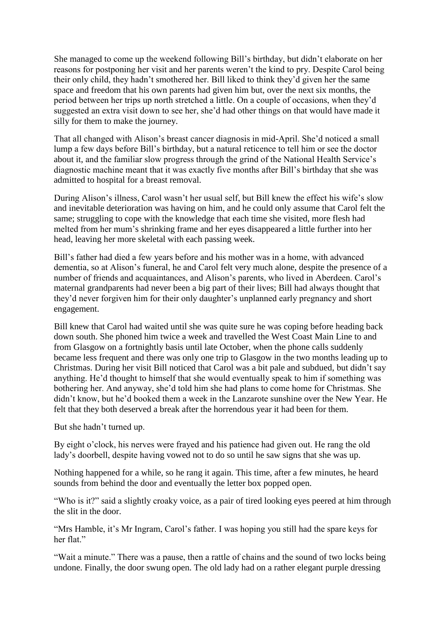She managed to come up the weekend following Bill's birthday, but didn't elaborate on her reasons for postponing her visit and her parents weren't the kind to pry. Despite Carol being their only child, they hadn't smothered her. Bill liked to think they'd given her the same space and freedom that his own parents had given him but, over the next six months, the period between her trips up north stretched a little. On a couple of occasions, when they'd suggested an extra visit down to see her, she'd had other things on that would have made it silly for them to make the journey.

That all changed with Alison's breast cancer diagnosis in mid-April. She'd noticed a small lump a few days before Bill's birthday, but a natural reticence to tell him or see the doctor about it, and the familiar slow progress through the grind of the National Health Service's diagnostic machine meant that it was exactly five months after Bill's birthday that she was admitted to hospital for a breast removal.

During Alison's illness, Carol wasn't her usual self, but Bill knew the effect his wife's slow and inevitable deterioration was having on him, and he could only assume that Carol felt the same; struggling to cope with the knowledge that each time she visited, more flesh had melted from her mum's shrinking frame and her eyes disappeared a little further into her head, leaving her more skeletal with each passing week.

Bill's father had died a few years before and his mother was in a home, with advanced dementia, so at Alison's funeral, he and Carol felt very much alone, despite the presence of a number of friends and acquaintances, and Alison's parents, who lived in Aberdeen. Carol's maternal grandparents had never been a big part of their lives; Bill had always thought that they'd never forgiven him for their only daughter's unplanned early pregnancy and short engagement.

Bill knew that Carol had waited until she was quite sure he was coping before heading back down south. She phoned him twice a week and travelled the West Coast Main Line to and from Glasgow on a fortnightly basis until late October, when the phone calls suddenly became less frequent and there was only one trip to Glasgow in the two months leading up to Christmas. During her visit Bill noticed that Carol was a bit pale and subdued, but didn't say anything. He'd thought to himself that she would eventually speak to him if something was bothering her. And anyway, she'd told him she had plans to come home for Christmas. She didn't know, but he'd booked them a week in the Lanzarote sunshine over the New Year. He felt that they both deserved a break after the horrendous year it had been for them.

But she hadn't turned up.

By eight o'clock, his nerves were frayed and his patience had given out. He rang the old lady's doorbell, despite having vowed not to do so until he saw signs that she was up.

Nothing happened for a while, so he rang it again. This time, after a few minutes, he heard sounds from behind the door and eventually the letter box popped open.

"Who is it?" said a slightly croaky voice, as a pair of tired looking eyes peered at him through the slit in the door.

"Mrs Hamble, it's Mr Ingram, Carol's father. I was hoping you still had the spare keys for her flat."

"Wait a minute." There was a pause, then a rattle of chains and the sound of two locks being undone. Finally, the door swung open. The old lady had on a rather elegant purple dressing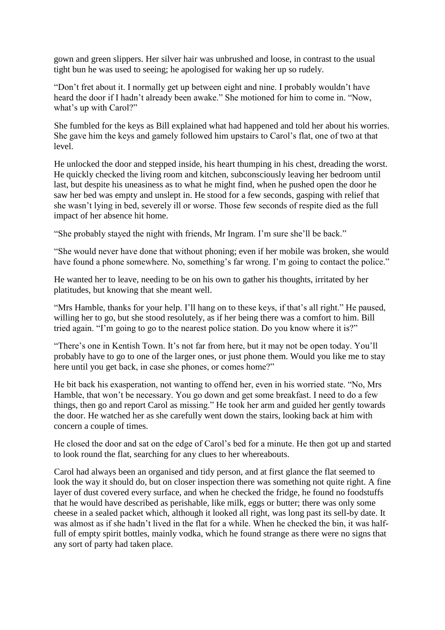gown and green slippers. Her silver hair was unbrushed and loose, in contrast to the usual tight bun he was used to seeing; he apologised for waking her up so rudely.

"Don't fret about it. I normally get up between eight and nine. I probably wouldn't have heard the door if I hadn't already been awake." She motioned for him to come in. "Now, what's up with Carol?"

She fumbled for the keys as Bill explained what had happened and told her about his worries. She gave him the keys and gamely followed him upstairs to Carol's flat, one of two at that level.

He unlocked the door and stepped inside, his heart thumping in his chest, dreading the worst. He quickly checked the living room and kitchen, subconsciously leaving her bedroom until last, but despite his uneasiness as to what he might find, when he pushed open the door he saw her bed was empty and unslept in. He stood for a few seconds, gasping with relief that she wasn't lying in bed, severely ill or worse. Those few seconds of respite died as the full impact of her absence hit home.

"She probably stayed the night with friends, Mr Ingram. I'm sure she'll be back."

"She would never have done that without phoning; even if her mobile was broken, she would have found a phone somewhere. No, something's far wrong. I'm going to contact the police."

He wanted her to leave, needing to be on his own to gather his thoughts, irritated by her platitudes, but knowing that she meant well.

"Mrs Hamble, thanks for your help. I'll hang on to these keys, if that's all right." He paused, willing her to go, but she stood resolutely, as if her being there was a comfort to him. Bill tried again. "I'm going to go to the nearest police station. Do you know where it is?"

"There's one in Kentish Town. It's not far from here, but it may not be open today. You'll probably have to go to one of the larger ones, or just phone them. Would you like me to stay here until you get back, in case she phones, or comes home?"

He bit back his exasperation, not wanting to offend her, even in his worried state. "No, Mrs Hamble, that won't be necessary. You go down and get some breakfast. I need to do a few things, then go and report Carol as missing." He took her arm and guided her gently towards the door. He watched her as she carefully went down the stairs, looking back at him with concern a couple of times.

He closed the door and sat on the edge of Carol's bed for a minute. He then got up and started to look round the flat, searching for any clues to her whereabouts.

Carol had always been an organised and tidy person, and at first glance the flat seemed to look the way it should do, but on closer inspection there was something not quite right. A fine layer of dust covered every surface, and when he checked the fridge, he found no foodstuffs that he would have described as perishable, like milk, eggs or butter; there was only some cheese in a sealed packet which, although it looked all right, was long past its sell-by date. It was almost as if she hadn't lived in the flat for a while. When he checked the bin, it was halffull of empty spirit bottles, mainly vodka, which he found strange as there were no signs that any sort of party had taken place.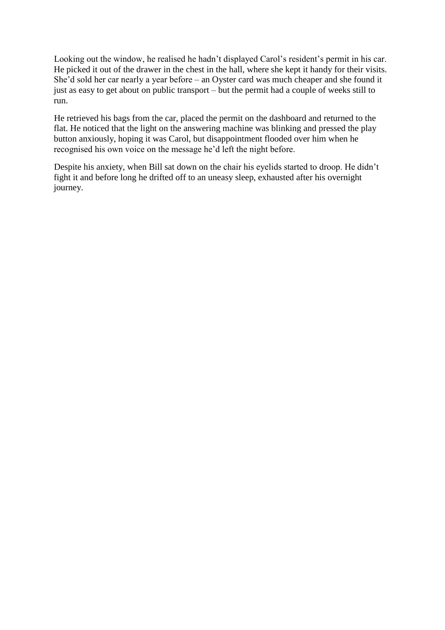Looking out the window, he realised he hadn't displayed Carol's resident's permit in his car. He picked it out of the drawer in the chest in the hall, where she kept it handy for their visits. She'd sold her car nearly a year before – an Oyster card was much cheaper and she found it just as easy to get about on public transport – but the permit had a couple of weeks still to run.

He retrieved his bags from the car, placed the permit on the dashboard and returned to the flat. He noticed that the light on the answering machine was blinking and pressed the play button anxiously, hoping it was Carol, but disappointment flooded over him when he recognised his own voice on the message he'd left the night before.

Despite his anxiety, when Bill sat down on the chair his eyelids started to droop. He didn't fight it and before long he drifted off to an uneasy sleep, exhausted after his overnight journey.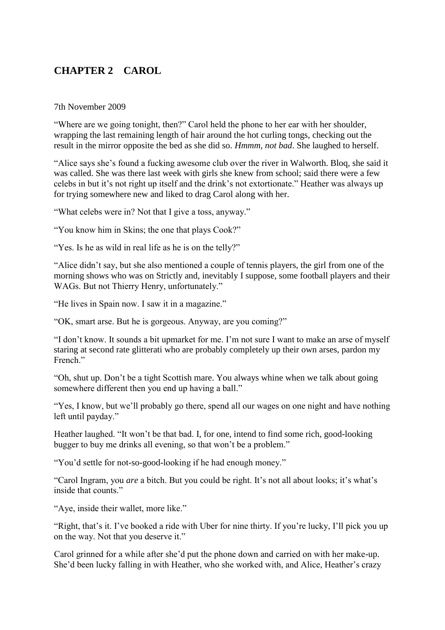# <span id="page-15-0"></span>**CHAPTER 2 CAROL**

7th November 2009

"Where are we going tonight, then?" Carol held the phone to her ear with her shoulder, wrapping the last remaining length of hair around the hot curling tongs, checking out the result in the mirror opposite the bed as she did so. *Hmmm, not bad*. She laughed to herself.

"Alice says she's found a fucking awesome club over the river in Walworth. Bloq, she said it was called. She was there last week with girls she knew from school; said there were a few celebs in but it's not right up itself and the drink's not extortionate." Heather was always up for trying somewhere new and liked to drag Carol along with her.

"What celebs were in? Not that I give a toss, anyway."

"You know him in Skins; the one that plays Cook?"

"Yes. Is he as wild in real life as he is on the telly?"

"Alice didn't say, but she also mentioned a couple of tennis players, the girl from one of the morning shows who was on Strictly and, inevitably I suppose, some football players and their WAGs. But not Thierry Henry, unfortunately."

"He lives in Spain now. I saw it in a magazine."

"OK, smart arse. But he is gorgeous. Anyway, are you coming?"

"I don't know. It sounds a bit upmarket for me. I'm not sure I want to make an arse of myself staring at second rate glitterati who are probably completely up their own arses, pardon my French."

"Oh, shut up. Don't be a tight Scottish mare. You always whine when we talk about going somewhere different then you end up having a ball."

"Yes, I know, but we'll probably go there, spend all our wages on one night and have nothing left until payday."

Heather laughed. "It won't be that bad. I, for one, intend to find some rich, good-looking bugger to buy me drinks all evening, so that won't be a problem."

"You'd settle for not-so-good-looking if he had enough money."

"Carol Ingram, you *are* a bitch. But you could be right. It's not all about looks; it's what's inside that counts."

"Aye, inside their wallet, more like."

"Right, that's it. I've booked a ride with Uber for nine thirty. If you're lucky, I'll pick you up on the way. Not that you deserve it."

Carol grinned for a while after she'd put the phone down and carried on with her make-up. She'd been lucky falling in with Heather, who she worked with, and Alice, Heather's crazy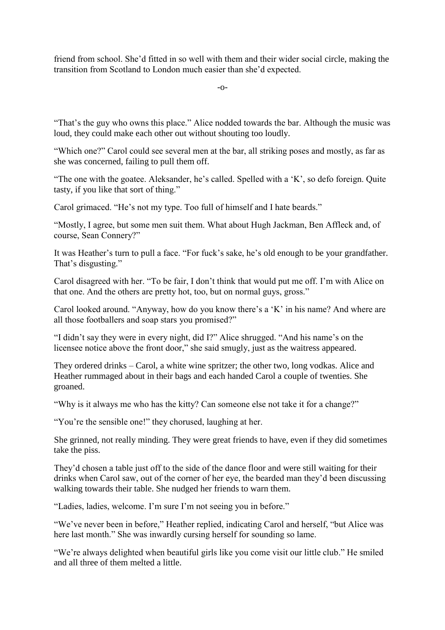friend from school. She'd fitted in so well with them and their wider social circle, making the transition from Scotland to London much easier than she'd expected.

-o-

"That's the guy who owns this place." Alice nodded towards the bar. Although the music was loud, they could make each other out without shouting too loudly.

"Which one?" Carol could see several men at the bar, all striking poses and mostly, as far as she was concerned, failing to pull them off.

"The one with the goatee. Aleksander, he's called. Spelled with a 'K', so defo foreign. Quite tasty, if you like that sort of thing."

Carol grimaced. "He's not my type. Too full of himself and I hate beards."

"Mostly, I agree, but some men suit them. What about Hugh Jackman, Ben Affleck and, of course, Sean Connery?"

It was Heather's turn to pull a face. "For fuck's sake, he's old enough to be your grandfather. That's disgusting."

Carol disagreed with her. "To be fair, I don't think that would put me off. I'm with Alice on that one. And the others are pretty hot, too, but on normal guys, gross."

Carol looked around. "Anyway, how do you know there's a 'K' in his name? And where are all those footballers and soap stars you promised?"

"I didn't say they were in every night, did I?" Alice shrugged. "And his name's on the licensee notice above the front door," she said smugly, just as the waitress appeared.

They ordered drinks – Carol, a white wine spritzer; the other two, long vodkas. Alice and Heather rummaged about in their bags and each handed Carol a couple of twenties. She groaned.

"Why is it always me who has the kitty? Can someone else not take it for a change?"

"You're the sensible one!" they chorused, laughing at her.

She grinned, not really minding. They were great friends to have, even if they did sometimes take the piss.

They'd chosen a table just off to the side of the dance floor and were still waiting for their drinks when Carol saw, out of the corner of her eye, the bearded man they'd been discussing walking towards their table. She nudged her friends to warn them.

"Ladies, ladies, welcome. I'm sure I'm not seeing you in before."

"We've never been in before," Heather replied, indicating Carol and herself, "but Alice was here last month." She was inwardly cursing herself for sounding so lame.

"We're always delighted when beautiful girls like you come visit our little club." He smiled and all three of them melted a little.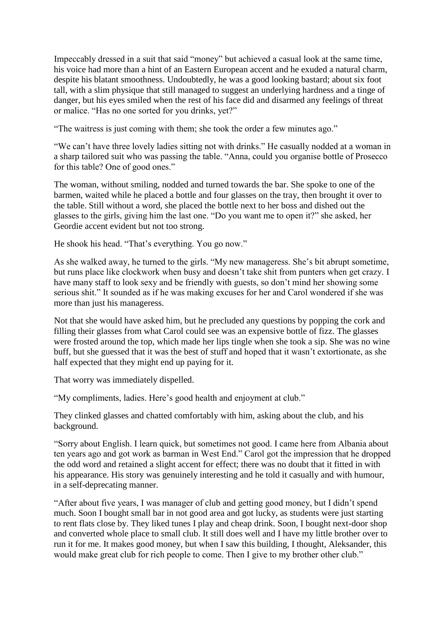Impeccably dressed in a suit that said "money" but achieved a casual look at the same time, his voice had more than a hint of an Eastern European accent and he exuded a natural charm, despite his blatant smoothness. Undoubtedly, he was a good looking bastard; about six foot tall, with a slim physique that still managed to suggest an underlying hardness and a tinge of danger, but his eyes smiled when the rest of his face did and disarmed any feelings of threat or malice. "Has no one sorted for you drinks, yet?"

"The waitress is just coming with them; she took the order a few minutes ago."

"We can't have three lovely ladies sitting not with drinks." He casually nodded at a woman in a sharp tailored suit who was passing the table. "Anna, could you organise bottle of Prosecco for this table? One of good ones."

The woman, without smiling, nodded and turned towards the bar. She spoke to one of the barmen, waited while he placed a bottle and four glasses on the tray, then brought it over to the table. Still without a word, she placed the bottle next to her boss and dished out the glasses to the girls, giving him the last one. "Do you want me to open it?" she asked, her Geordie accent evident but not too strong.

He shook his head. "That's everything. You go now."

As she walked away, he turned to the girls. "My new manageress. She's bit abrupt sometime, but runs place like clockwork when busy and doesn't take shit from punters when get crazy. I have many staff to look sexy and be friendly with guests, so don't mind her showing some serious shit." It sounded as if he was making excuses for her and Carol wondered if she was more than just his manageress.

Not that she would have asked him, but he precluded any questions by popping the cork and filling their glasses from what Carol could see was an expensive bottle of fizz. The glasses were frosted around the top, which made her lips tingle when she took a sip. She was no wine buff, but she guessed that it was the best of stuff and hoped that it wasn't extortionate, as she half expected that they might end up paying for it.

That worry was immediately dispelled.

"My compliments, ladies. Here's good health and enjoyment at club."

They clinked glasses and chatted comfortably with him, asking about the club, and his background.

"Sorry about English. I learn quick, but sometimes not good. I came here from Albania about ten years ago and got work as barman in West End." Carol got the impression that he dropped the odd word and retained a slight accent for effect; there was no doubt that it fitted in with his appearance. His story was genuinely interesting and he told it casually and with humour, in a self-deprecating manner.

"After about five years, I was manager of club and getting good money, but I didn't spend much. Soon I bought small bar in not good area and got lucky, as students were just starting to rent flats close by. They liked tunes I play and cheap drink. Soon, I bought next-door shop and converted whole place to small club. It still does well and I have my little brother over to run it for me. It makes good money, but when I saw this building, I thought, Aleksander, this would make great club for rich people to come. Then I give to my brother other club."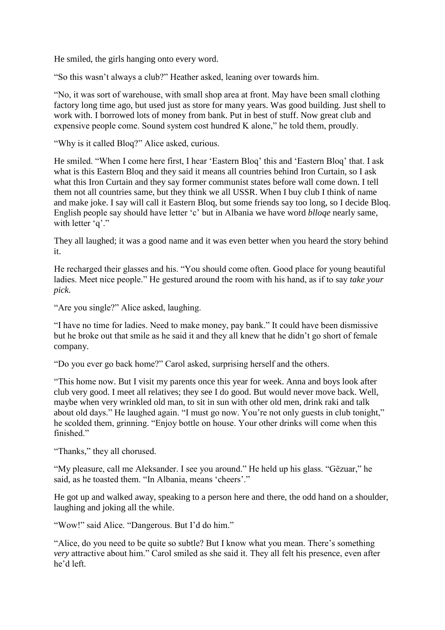He smiled, the girls hanging onto every word.

"So this wasn't always a club?" Heather asked, leaning over towards him.

"No, it was sort of warehouse, with small shop area at front. May have been small clothing factory long time ago, but used just as store for many years. Was good building. Just shell to work with. I borrowed lots of money from bank. Put in best of stuff. Now great club and expensive people come. Sound system cost hundred K alone," he told them, proudly.

"Why is it called Bloq?" Alice asked, curious.

He smiled. "When I come here first, I hear 'Eastern Bloq' this and 'Eastern Bloq' that. I ask what is this Eastern Bloq and they said it means all countries behind Iron Curtain, so I ask what this Iron Curtain and they say former communist states before wall come down. I tell them not all countries same, but they think we all USSR. When I buy club I think of name and make joke. I say will call it Eastern Bloq, but some friends say too long, so I decide Bloq. English people say should have letter 'c' but in Albania we have word *blloqe* nearly same, with letter 'q'."

They all laughed; it was a good name and it was even better when you heard the story behind it.

He recharged their glasses and his. "You should come often. Good place for young beautiful ladies. Meet nice people." He gestured around the room with his hand, as if to say *take your pick.*

"Are you single?" Alice asked, laughing.

"I have no time for ladies. Need to make money, pay bank." It could have been dismissive but he broke out that smile as he said it and they all knew that he didn't go short of female company.

"Do you ever go back home?" Carol asked, surprising herself and the others.

"This home now. But I visit my parents once this year for week. Anna and boys look after club very good. I meet all relatives; they see I do good. But would never move back. Well, maybe when very wrinkled old man, to sit in sun with other old men, drink raki and talk about old days." He laughed again. "I must go now. You're not only guests in club tonight," he scolded them, grinning. "Enjoy bottle on house. Your other drinks will come when this finished."

"Thanks," they all chorused.

"My pleasure, call me Aleksander. I see you around." He held up his glass. "Gëzuar," he said, as he toasted them. "In Albania, means 'cheers'."

He got up and walked away, speaking to a person here and there, the odd hand on a shoulder, laughing and joking all the while.

"Wow!" said Alice. "Dangerous. But I'd do him."

"Alice, do you need to be quite so subtle? But I know what you mean. There's something *very* attractive about him." Carol smiled as she said it. They all felt his presence, even after he'd left.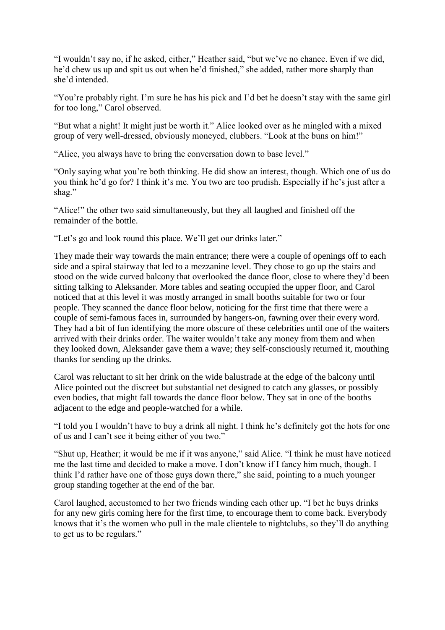"I wouldn't say no, if he asked, either," Heather said, "but we've no chance. Even if we did, he'd chew us up and spit us out when he'd finished," she added, rather more sharply than she'd intended.

"You're probably right. I'm sure he has his pick and I'd bet he doesn't stay with the same girl for too long," Carol observed.

"But what a night! It might just be worth it." Alice looked over as he mingled with a mixed group of very well-dressed, obviously moneyed, clubbers. "Look at the buns on him!"

"Alice, you always have to bring the conversation down to base level."

"Only saying what you're both thinking. He did show an interest, though. Which one of us do you think he'd go for? I think it's me. You two are too prudish. Especially if he's just after a shag."

"Alice!" the other two said simultaneously, but they all laughed and finished off the remainder of the bottle.

"Let's go and look round this place. We'll get our drinks later."

They made their way towards the main entrance; there were a couple of openings off to each side and a spiral stairway that led to a mezzanine level. They chose to go up the stairs and stood on the wide curved balcony that overlooked the dance floor, close to where they'd been sitting talking to Aleksander. More tables and seating occupied the upper floor, and Carol noticed that at this level it was mostly arranged in small booths suitable for two or four people. They scanned the dance floor below, noticing for the first time that there were a couple of semi-famous faces in, surrounded by hangers-on, fawning over their every word. They had a bit of fun identifying the more obscure of these celebrities until one of the waiters arrived with their drinks order. The waiter wouldn't take any money from them and when they looked down, Aleksander gave them a wave; they self-consciously returned it, mouthing thanks for sending up the drinks.

Carol was reluctant to sit her drink on the wide balustrade at the edge of the balcony until Alice pointed out the discreet but substantial net designed to catch any glasses, or possibly even bodies, that might fall towards the dance floor below. They sat in one of the booths adjacent to the edge and people-watched for a while.

"I told you I wouldn't have to buy a drink all night. I think he's definitely got the hots for one of us and I can't see it being either of you two."

"Shut up, Heather; it would be me if it was anyone," said Alice. "I think he must have noticed me the last time and decided to make a move. I don't know if I fancy him much, though. I think I'd rather have one of those guys down there," she said, pointing to a much younger group standing together at the end of the bar.

Carol laughed, accustomed to her two friends winding each other up. "I bet he buys drinks for any new girls coming here for the first time, to encourage them to come back. Everybody knows that it's the women who pull in the male clientele to nightclubs, so they'll do anything to get us to be regulars."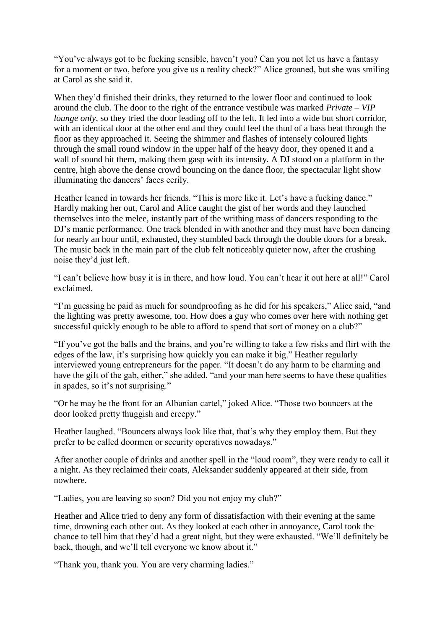"You've always got to be fucking sensible, haven't you? Can you not let us have a fantasy for a moment or two, before you give us a reality check?" Alice groaned, but she was smiling at Carol as she said it.

When they'd finished their drinks, they returned to the lower floor and continued to look around the club. The door to the right of the entrance vestibule was marked *Private – VIP lounge only*, so they tried the door leading off to the left. It led into a wide but short corridor, with an identical door at the other end and they could feel the thud of a bass beat through the floor as they approached it. Seeing the shimmer and flashes of intensely coloured lights through the small round window in the upper half of the heavy door, they opened it and a wall of sound hit them, making them gasp with its intensity. A DJ stood on a platform in the centre, high above the dense crowd bouncing on the dance floor, the spectacular light show illuminating the dancers' faces eerily.

Heather leaned in towards her friends. "This is more like it. Let's have a fucking dance." Hardly making her out, Carol and Alice caught the gist of her words and they launched themselves into the melee, instantly part of the writhing mass of dancers responding to the DJ's manic performance. One track blended in with another and they must have been dancing for nearly an hour until, exhausted, they stumbled back through the double doors for a break. The music back in the main part of the club felt noticeably quieter now, after the crushing noise they'd just left.

"I can't believe how busy it is in there, and how loud. You can't hear it out here at all!" Carol exclaimed.

"I'm guessing he paid as much for soundproofing as he did for his speakers," Alice said, "and the lighting was pretty awesome, too. How does a guy who comes over here with nothing get successful quickly enough to be able to afford to spend that sort of money on a club?"

"If you've got the balls and the brains, and you're willing to take a few risks and flirt with the edges of the law, it's surprising how quickly you can make it big." Heather regularly interviewed young entrepreneurs for the paper. "It doesn't do any harm to be charming and have the gift of the gab, either," she added, "and your man here seems to have these qualities in spades, so it's not surprising."

"Or he may be the front for an Albanian cartel," joked Alice. "Those two bouncers at the door looked pretty thuggish and creepy."

Heather laughed. "Bouncers always look like that, that's why they employ them. But they prefer to be called doormen or security operatives nowadays."

After another couple of drinks and another spell in the "loud room", they were ready to call it a night. As they reclaimed their coats, Aleksander suddenly appeared at their side, from nowhere.

"Ladies, you are leaving so soon? Did you not enjoy my club?"

Heather and Alice tried to deny any form of dissatisfaction with their evening at the same time, drowning each other out. As they looked at each other in annoyance, Carol took the chance to tell him that they'd had a great night, but they were exhausted. "We'll definitely be back, though, and we'll tell everyone we know about it."

"Thank you, thank you. You are very charming ladies."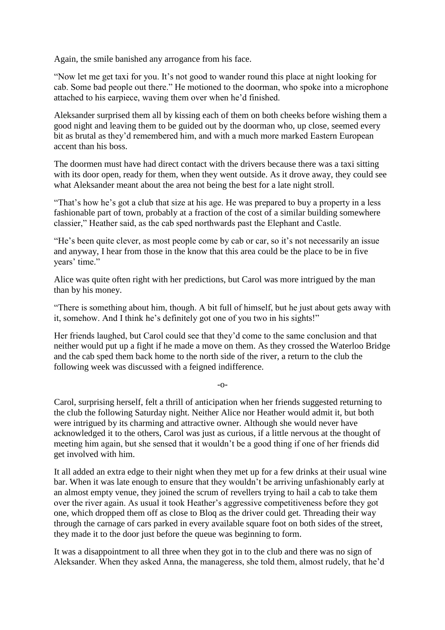Again, the smile banished any arrogance from his face.

"Now let me get taxi for you. It's not good to wander round this place at night looking for cab. Some bad people out there." He motioned to the doorman, who spoke into a microphone attached to his earpiece, waving them over when he'd finished.

Aleksander surprised them all by kissing each of them on both cheeks before wishing them a good night and leaving them to be guided out by the doorman who, up close, seemed every bit as brutal as they'd remembered him, and with a much more marked Eastern European accent than his boss.

The doormen must have had direct contact with the drivers because there was a taxi sitting with its door open, ready for them, when they went outside. As it drove away, they could see what Aleksander meant about the area not being the best for a late night stroll.

"That's how he's got a club that size at his age. He was prepared to buy a property in a less fashionable part of town, probably at a fraction of the cost of a similar building somewhere classier," Heather said, as the cab sped northwards past the Elephant and Castle.

"He's been quite clever, as most people come by cab or car, so it's not necessarily an issue and anyway, I hear from those in the know that this area could be the place to be in five years' time."

Alice was quite often right with her predictions, but Carol was more intrigued by the man than by his money.

"There is something about him, though. A bit full of himself, but he just about gets away with it, somehow. And I think he's definitely got one of you two in his sights!"

Her friends laughed, but Carol could see that they'd come to the same conclusion and that neither would put up a fight if he made a move on them. As they crossed the Waterloo Bridge and the cab sped them back home to the north side of the river, a return to the club the following week was discussed with a feigned indifference.

-o-

Carol, surprising herself, felt a thrill of anticipation when her friends suggested returning to the club the following Saturday night. Neither Alice nor Heather would admit it, but both were intrigued by its charming and attractive owner. Although she would never have acknowledged it to the others, Carol was just as curious, if a little nervous at the thought of meeting him again, but she sensed that it wouldn't be a good thing if one of her friends did get involved with him.

It all added an extra edge to their night when they met up for a few drinks at their usual wine bar. When it was late enough to ensure that they wouldn't be arriving unfashionably early at an almost empty venue, they joined the scrum of revellers trying to hail a cab to take them over the river again. As usual it took Heather's aggressive competitiveness before they got one, which dropped them off as close to Bloq as the driver could get. Threading their way through the carnage of cars parked in every available square foot on both sides of the street, they made it to the door just before the queue was beginning to form.

It was a disappointment to all three when they got in to the club and there was no sign of Aleksander. When they asked Anna, the manageress, she told them, almost rudely, that he'd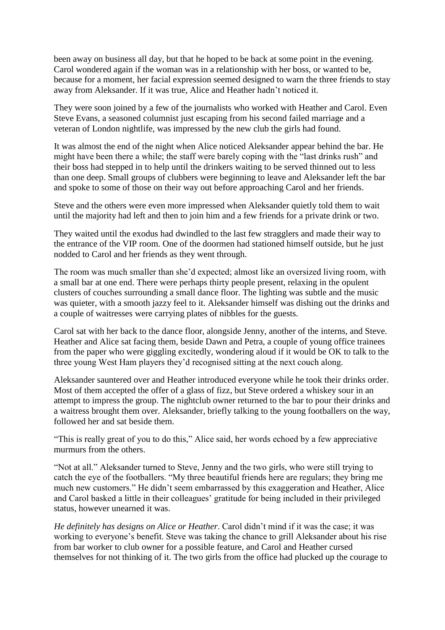been away on business all day, but that he hoped to be back at some point in the evening. Carol wondered again if the woman was in a relationship with her boss, or wanted to be, because for a moment, her facial expression seemed designed to warn the three friends to stay away from Aleksander. If it was true, Alice and Heather hadn't noticed it.

They were soon joined by a few of the journalists who worked with Heather and Carol. Even Steve Evans, a seasoned columnist just escaping from his second failed marriage and a veteran of London nightlife, was impressed by the new club the girls had found.

It was almost the end of the night when Alice noticed Aleksander appear behind the bar. He might have been there a while; the staff were barely coping with the "last drinks rush" and their boss had stepped in to help until the drinkers waiting to be served thinned out to less than one deep. Small groups of clubbers were beginning to leave and Aleksander left the bar and spoke to some of those on their way out before approaching Carol and her friends.

Steve and the others were even more impressed when Aleksander quietly told them to wait until the majority had left and then to join him and a few friends for a private drink or two.

They waited until the exodus had dwindled to the last few stragglers and made their way to the entrance of the VIP room. One of the doormen had stationed himself outside, but he just nodded to Carol and her friends as they went through.

The room was much smaller than she'd expected; almost like an oversized living room, with a small bar at one end. There were perhaps thirty people present, relaxing in the opulent clusters of couches surrounding a small dance floor. The lighting was subtle and the music was quieter, with a smooth jazzy feel to it. Aleksander himself was dishing out the drinks and a couple of waitresses were carrying plates of nibbles for the guests.

Carol sat with her back to the dance floor, alongside Jenny, another of the interns, and Steve. Heather and Alice sat facing them, beside Dawn and Petra, a couple of young office trainees from the paper who were giggling excitedly, wondering aloud if it would be OK to talk to the three young West Ham players they'd recognised sitting at the next couch along.

Aleksander sauntered over and Heather introduced everyone while he took their drinks order. Most of them accepted the offer of a glass of fizz, but Steve ordered a whiskey sour in an attempt to impress the group. The nightclub owner returned to the bar to pour their drinks and a waitress brought them over. Aleksander, briefly talking to the young footballers on the way, followed her and sat beside them.

"This is really great of you to do this," Alice said, her words echoed by a few appreciative murmurs from the others.

"Not at all." Aleksander turned to Steve, Jenny and the two girls, who were still trying to catch the eye of the footballers. "My three beautiful friends here are regulars; they bring me much new customers." He didn't seem embarrassed by this exaggeration and Heather, Alice and Carol basked a little in their colleagues' gratitude for being included in their privileged status, however unearned it was.

*He definitely has designs on Alice or Heather*. Carol didn't mind if it was the case; it was working to everyone's benefit. Steve was taking the chance to grill Aleksander about his rise from bar worker to club owner for a possible feature, and Carol and Heather cursed themselves for not thinking of it. The two girls from the office had plucked up the courage to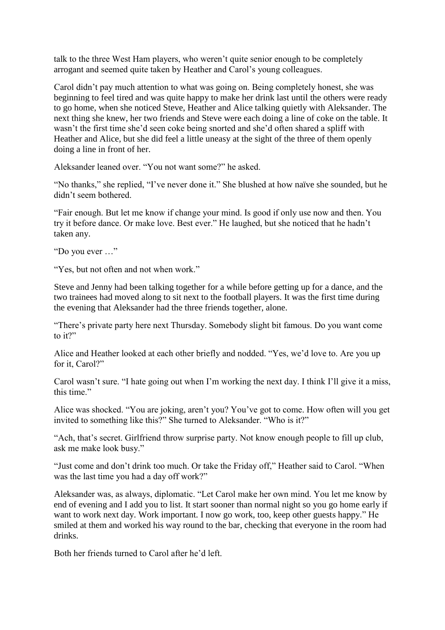talk to the three West Ham players, who weren't quite senior enough to be completely arrogant and seemed quite taken by Heather and Carol's young colleagues.

Carol didn't pay much attention to what was going on. Being completely honest, she was beginning to feel tired and was quite happy to make her drink last until the others were ready to go home, when she noticed Steve, Heather and Alice talking quietly with Aleksander. The next thing she knew, her two friends and Steve were each doing a line of coke on the table. It wasn't the first time she'd seen coke being snorted and she'd often shared a spliff with Heather and Alice, but she did feel a little uneasy at the sight of the three of them openly doing a line in front of her.

Aleksander leaned over. "You not want some?" he asked.

"No thanks," she replied, "I've never done it." She blushed at how naïve she sounded, but he didn't seem bothered.

"Fair enough. But let me know if change your mind. Is good if only use now and then. You try it before dance. Or make love. Best ever." He laughed, but she noticed that he hadn't taken any.

"Do you ever …"

"Yes, but not often and not when work."

Steve and Jenny had been talking together for a while before getting up for a dance, and the two trainees had moved along to sit next to the football players. It was the first time during the evening that Aleksander had the three friends together, alone.

"There's private party here next Thursday. Somebody slight bit famous. Do you want come to it?"

Alice and Heather looked at each other briefly and nodded. "Yes, we'd love to. Are you up for it, Carol?"

Carol wasn't sure. "I hate going out when I'm working the next day. I think I'll give it a miss, this time."

Alice was shocked. "You are joking, aren't you? You've got to come. How often will you get invited to something like this?" She turned to Aleksander. "Who is it?"

"Ach, that's secret. Girlfriend throw surprise party. Not know enough people to fill up club, ask me make look busy."

"Just come and don't drink too much. Or take the Friday off," Heather said to Carol. "When was the last time you had a day off work?"

Aleksander was, as always, diplomatic. "Let Carol make her own mind. You let me know by end of evening and I add you to list. It start sooner than normal night so you go home early if want to work next day. Work important. I now go work, too, keep other guests happy." He smiled at them and worked his way round to the bar, checking that everyone in the room had drinks.

Both her friends turned to Carol after he'd left.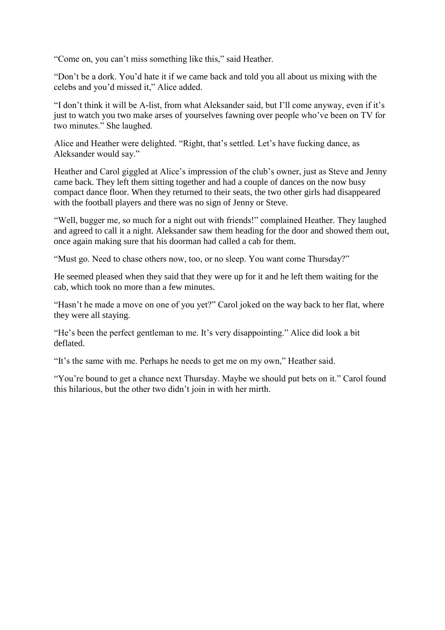"Come on, you can't miss something like this," said Heather.

"Don't be a dork. You'd hate it if we came back and told you all about us mixing with the celebs and you'd missed it," Alice added.

"I don't think it will be A-list, from what Aleksander said, but I'll come anyway, even if it's just to watch you two make arses of yourselves fawning over people who've been on TV for two minutes." She laughed.

Alice and Heather were delighted. "Right, that's settled. Let's have fucking dance, as Aleksander would say."

Heather and Carol giggled at Alice's impression of the club's owner, just as Steve and Jenny came back. They left them sitting together and had a couple of dances on the now busy compact dance floor. When they returned to their seats, the two other girls had disappeared with the football players and there was no sign of Jenny or Steve.

"Well, bugger me, so much for a night out with friends!" complained Heather. They laughed and agreed to call it a night. Aleksander saw them heading for the door and showed them out, once again making sure that his doorman had called a cab for them.

"Must go. Need to chase others now, too, or no sleep. You want come Thursday?"

He seemed pleased when they said that they were up for it and he left them waiting for the cab, which took no more than a few minutes.

"Hasn't he made a move on one of you yet?" Carol joked on the way back to her flat, where they were all staying.

"He's been the perfect gentleman to me. It's very disappointing." Alice did look a bit deflated.

"It's the same with me. Perhaps he needs to get me on my own," Heather said.

"You're bound to get a chance next Thursday. Maybe we should put bets on it." Carol found this hilarious, but the other two didn't join in with her mirth.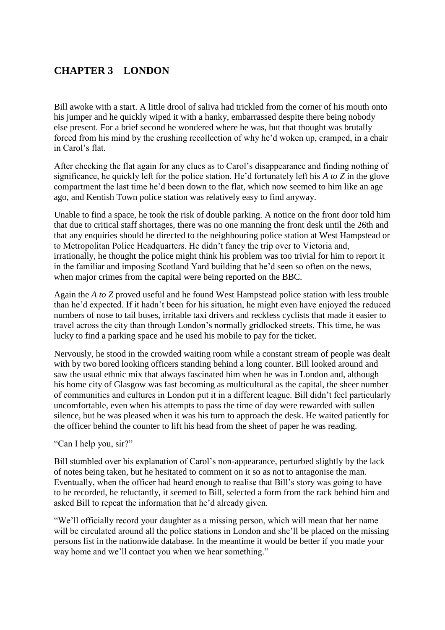# <span id="page-25-0"></span>**CHAPTER 3 LONDON**

Bill awoke with a start. A little drool of saliva had trickled from the corner of his mouth onto his jumper and he quickly wiped it with a hanky, embarrassed despite there being nobody else present. For a brief second he wondered where he was, but that thought was brutally forced from his mind by the crushing recollection of why he'd woken up, cramped, in a chair in Carol's flat.

After checking the flat again for any clues as to Carol's disappearance and finding nothing of significance, he quickly left for the police station. He'd fortunately left his *A to Z* in the glove compartment the last time he'd been down to the flat, which now seemed to him like an age ago, and Kentish Town police station was relatively easy to find anyway.

Unable to find a space, he took the risk of double parking. A notice on the front door told him that due to critical staff shortages, there was no one manning the front desk until the 26th and that any enquiries should be directed to the neighbouring police station at West Hampstead or to Metropolitan Police Headquarters. He didn't fancy the trip over to Victoria and, irrationally, he thought the police might think his problem was too trivial for him to report it in the familiar and imposing Scotland Yard building that he'd seen so often on the news, when major crimes from the capital were being reported on the BBC.

Again the *A to Z* proved useful and he found West Hampstead police station with less trouble than he'd expected. If it hadn't been for his situation, he might even have enjoyed the reduced numbers of nose to tail buses, irritable taxi drivers and reckless cyclists that made it easier to travel across the city than through London's normally gridlocked streets. This time, he was lucky to find a parking space and he used his mobile to pay for the ticket.

Nervously, he stood in the crowded waiting room while a constant stream of people was dealt with by two bored looking officers standing behind a long counter. Bill looked around and saw the usual ethnic mix that always fascinated him when he was in London and, although his home city of Glasgow was fast becoming as multicultural as the capital, the sheer number of communities and cultures in London put it in a different league. Bill didn't feel particularly uncomfortable, even when his attempts to pass the time of day were rewarded with sullen silence, but he was pleased when it was his turn to approach the desk. He waited patiently for the officer behind the counter to lift his head from the sheet of paper he was reading.

"Can I help you, sir?"

Bill stumbled over his explanation of Carol's non-appearance, perturbed slightly by the lack of notes being taken, but he hesitated to comment on it so as not to antagonise the man. Eventually, when the officer had heard enough to realise that Bill's story was going to have to be recorded, he reluctantly, it seemed to Bill, selected a form from the rack behind him and asked Bill to repeat the information that he'd already given.

"We'll officially record your daughter as a missing person, which will mean that her name will be circulated around all the police stations in London and she'll be placed on the missing persons list in the nationwide database. In the meantime it would be better if you made your way home and we'll contact you when we hear something."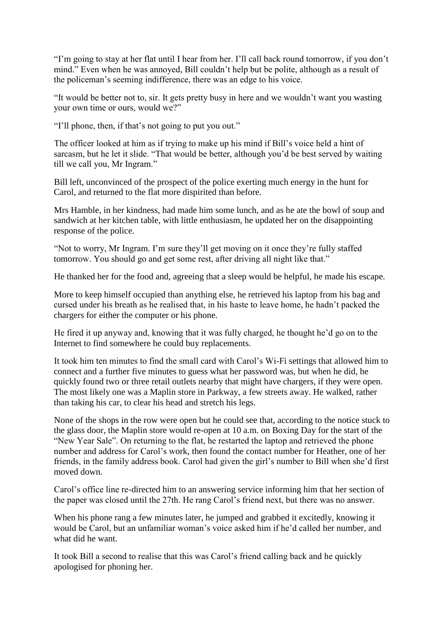"I'm going to stay at her flat until I hear from her. I'll call back round tomorrow, if you don't mind." Even when he was annoyed, Bill couldn't help but be polite, although as a result of the policeman's seeming indifference, there was an edge to his voice.

"It would be better not to, sir. It gets pretty busy in here and we wouldn't want you wasting your own time or ours, would we?"

"I'll phone, then, if that's not going to put you out."

The officer looked at him as if trying to make up his mind if Bill's voice held a hint of sarcasm, but he let it slide. "That would be better, although you'd be best served by waiting till we call you, Mr Ingram."

Bill left, unconvinced of the prospect of the police exerting much energy in the hunt for Carol, and returned to the flat more dispirited than before.

Mrs Hamble, in her kindness, had made him some lunch, and as he ate the bowl of soup and sandwich at her kitchen table, with little enthusiasm, he updated her on the disappointing response of the police.

"Not to worry, Mr Ingram. I'm sure they'll get moving on it once they're fully staffed tomorrow. You should go and get some rest, after driving all night like that."

He thanked her for the food and, agreeing that a sleep would be helpful, he made his escape.

More to keep himself occupied than anything else, he retrieved his laptop from his bag and cursed under his breath as he realised that, in his haste to leave home, he hadn't packed the chargers for either the computer or his phone.

He fired it up anyway and, knowing that it was fully charged, he thought he'd go on to the Internet to find somewhere he could buy replacements.

It took him ten minutes to find the small card with Carol's Wi-Fi settings that allowed him to connect and a further five minutes to guess what her password was, but when he did, he quickly found two or three retail outlets nearby that might have chargers, if they were open. The most likely one was a Maplin store in Parkway, a few streets away. He walked, rather than taking his car, to clear his head and stretch his legs.

None of the shops in the row were open but he could see that, according to the notice stuck to the glass door, the Maplin store would re-open at 10 a.m. on Boxing Day for the start of the "New Year Sale". On returning to the flat, he restarted the laptop and retrieved the phone number and address for Carol's work, then found the contact number for Heather, one of her friends, in the family address book. Carol had given the girl's number to Bill when she'd first moved down.

Carol's office line re-directed him to an answering service informing him that her section of the paper was closed until the 27th. He rang Carol's friend next, but there was no answer.

When his phone rang a few minutes later, he jumped and grabbed it excitedly, knowing it would be Carol, but an unfamiliar woman's voice asked him if he'd called her number, and what did he want.

It took Bill a second to realise that this was Carol's friend calling back and he quickly apologised for phoning her.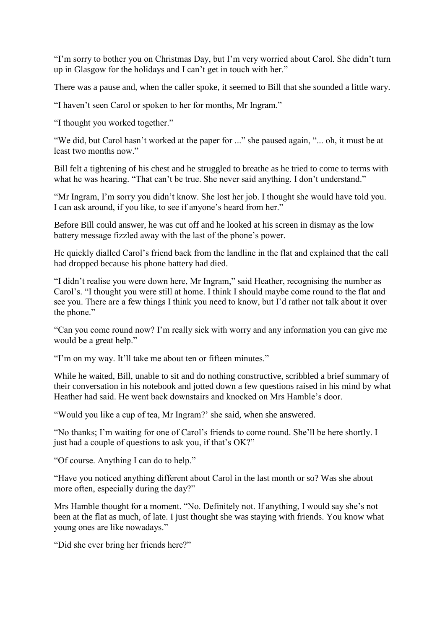"I'm sorry to bother you on Christmas Day, but I'm very worried about Carol. She didn't turn up in Glasgow for the holidays and I can't get in touch with her."

There was a pause and, when the caller spoke, it seemed to Bill that she sounded a little wary.

"I haven't seen Carol or spoken to her for months, Mr Ingram."

"I thought you worked together."

"We did, but Carol hasn't worked at the paper for ..." she paused again, "... oh, it must be at least two months now."

Bill felt a tightening of his chest and he struggled to breathe as he tried to come to terms with what he was hearing. "That can't be true. She never said anything. I don't understand."

"Mr Ingram, I'm sorry you didn't know. She lost her job. I thought she would have told you. I can ask around, if you like, to see if anyone's heard from her."

Before Bill could answer, he was cut off and he looked at his screen in dismay as the low battery message fizzled away with the last of the phone's power.

He quickly dialled Carol's friend back from the landline in the flat and explained that the call had dropped because his phone battery had died.

"I didn't realise you were down here, Mr Ingram," said Heather, recognising the number as Carol's. "I thought you were still at home. I think I should maybe come round to the flat and see you. There are a few things I think you need to know, but I'd rather not talk about it over the phone."

"Can you come round now? I'm really sick with worry and any information you can give me would be a great help."

"I'm on my way. It'll take me about ten or fifteen minutes."

While he waited, Bill, unable to sit and do nothing constructive, scribbled a brief summary of their conversation in his notebook and jotted down a few questions raised in his mind by what Heather had said. He went back downstairs and knocked on Mrs Hamble's door.

"Would you like a cup of tea, Mr Ingram?' she said, when she answered.

"No thanks; I'm waiting for one of Carol's friends to come round. She'll be here shortly. I just had a couple of questions to ask you, if that's OK?"

"Of course. Anything I can do to help."

"Have you noticed anything different about Carol in the last month or so? Was she about more often, especially during the day?"

Mrs Hamble thought for a moment. "No. Definitely not. If anything, I would say she's not been at the flat as much, of late. I just thought she was staying with friends. You know what young ones are like nowadays."

"Did she ever bring her friends here?"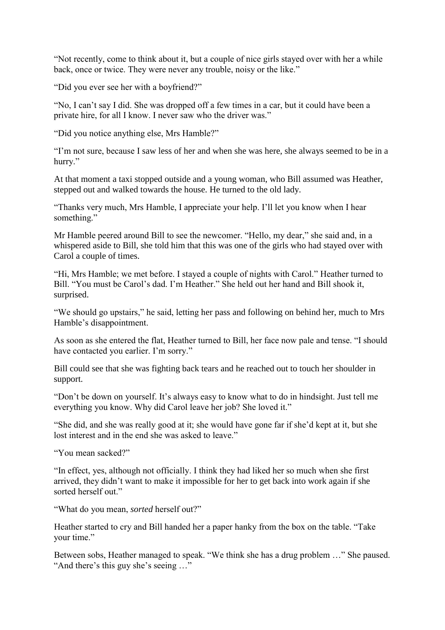"Not recently, come to think about it, but a couple of nice girls stayed over with her a while back, once or twice. They were never any trouble, noisy or the like."

"Did you ever see her with a boyfriend?"

"No, I can't say I did. She was dropped off a few times in a car, but it could have been a private hire, for all I know. I never saw who the driver was."

"Did you notice anything else, Mrs Hamble?"

"I'm not sure, because I saw less of her and when she was here, she always seemed to be in a hurry."

At that moment a taxi stopped outside and a young woman, who Bill assumed was Heather, stepped out and walked towards the house. He turned to the old lady.

"Thanks very much, Mrs Hamble, I appreciate your help. I'll let you know when I hear something."

Mr Hamble peered around Bill to see the newcomer. "Hello, my dear," she said and, in a whispered aside to Bill, she told him that this was one of the girls who had stayed over with Carol a couple of times.

"Hi, Mrs Hamble; we met before. I stayed a couple of nights with Carol." Heather turned to Bill. "You must be Carol's dad. I'm Heather." She held out her hand and Bill shook it, surprised.

"We should go upstairs," he said, letting her pass and following on behind her, much to Mrs Hamble's disappointment.

As soon as she entered the flat, Heather turned to Bill, her face now pale and tense. "I should have contacted you earlier. I'm sorry."

Bill could see that she was fighting back tears and he reached out to touch her shoulder in support.

"Don't be down on yourself. It's always easy to know what to do in hindsight. Just tell me everything you know. Why did Carol leave her job? She loved it."

"She did, and she was really good at it; she would have gone far if she'd kept at it, but she lost interest and in the end she was asked to leave."

"You mean sacked?"

"In effect, yes, although not officially. I think they had liked her so much when she first arrived, they didn't want to make it impossible for her to get back into work again if she sorted herself out."

"What do you mean, *sorted* herself out?"

Heather started to cry and Bill handed her a paper hanky from the box on the table. "Take your time."

Between sobs, Heather managed to speak. "We think she has a drug problem …" She paused. "And there's this guy she's seeing …"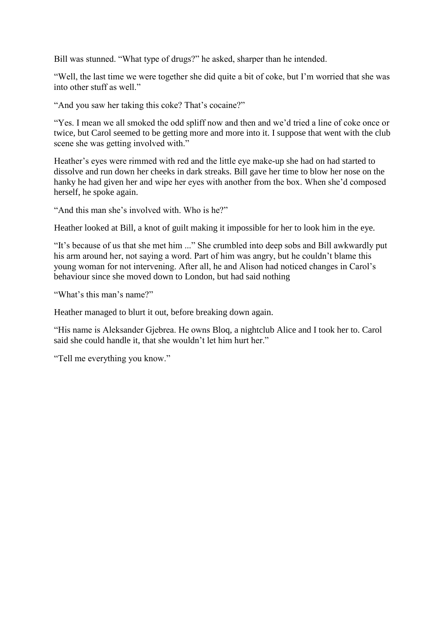Bill was stunned. "What type of drugs?" he asked, sharper than he intended.

"Well, the last time we were together she did quite a bit of coke, but I'm worried that she was into other stuff as well."

"And you saw her taking this coke? That's cocaine?"

"Yes. I mean we all smoked the odd spliff now and then and we'd tried a line of coke once or twice, but Carol seemed to be getting more and more into it. I suppose that went with the club scene she was getting involved with."

Heather's eyes were rimmed with red and the little eye make-up she had on had started to dissolve and run down her cheeks in dark streaks. Bill gave her time to blow her nose on the hanky he had given her and wipe her eyes with another from the box. When she'd composed herself, he spoke again.

"And this man she's involved with. Who is he?"

Heather looked at Bill, a knot of guilt making it impossible for her to look him in the eye.

"It's because of us that she met him ..." She crumbled into deep sobs and Bill awkwardly put his arm around her, not saying a word. Part of him was angry, but he couldn't blame this young woman for not intervening. After all, he and Alison had noticed changes in Carol's behaviour since she moved down to London, but had said nothing

"What's this man's name?"

Heather managed to blurt it out, before breaking down again.

"His name is Aleksander Gjebrea. He owns Bloq, a nightclub Alice and I took her to. Carol said she could handle it, that she wouldn't let him hurt her."

"Tell me everything you know."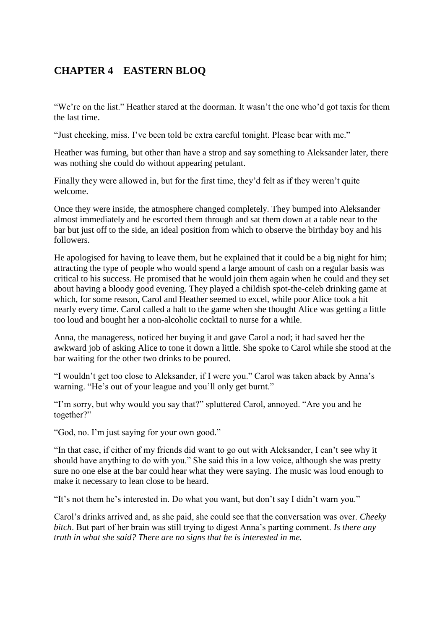# <span id="page-30-0"></span>**CHAPTER 4 EASTERN BLOQ**

"We're on the list." Heather stared at the doorman. It wasn't the one who'd got taxis for them the last time.

"Just checking, miss. I've been told be extra careful tonight. Please bear with me."

Heather was fuming, but other than have a strop and say something to Aleksander later, there was nothing she could do without appearing petulant.

Finally they were allowed in, but for the first time, they'd felt as if they weren't quite welcome.

Once they were inside, the atmosphere changed completely. They bumped into Aleksander almost immediately and he escorted them through and sat them down at a table near to the bar but just off to the side, an ideal position from which to observe the birthday boy and his followers.

He apologised for having to leave them, but he explained that it could be a big night for him; attracting the type of people who would spend a large amount of cash on a regular basis was critical to his success. He promised that he would join them again when he could and they set about having a bloody good evening. They played a childish spot-the-celeb drinking game at which, for some reason, Carol and Heather seemed to excel, while poor Alice took a hit nearly every time. Carol called a halt to the game when she thought Alice was getting a little too loud and bought her a non-alcoholic cocktail to nurse for a while.

Anna, the manageress, noticed her buying it and gave Carol a nod; it had saved her the awkward job of asking Alice to tone it down a little. She spoke to Carol while she stood at the bar waiting for the other two drinks to be poured.

"I wouldn't get too close to Aleksander, if I were you." Carol was taken aback by Anna's warning. "He's out of your league and you'll only get burnt."

"I'm sorry, but why would you say that?" spluttered Carol, annoyed. "Are you and he together?"

"God, no. I'm just saying for your own good."

"In that case, if either of my friends did want to go out with Aleksander, I can't see why it should have anything to do with you." She said this in a low voice, although she was pretty sure no one else at the bar could hear what they were saying. The music was loud enough to make it necessary to lean close to be heard.

"It's not them he's interested in. Do what you want, but don't say I didn't warn you."

Carol's drinks arrived and, as she paid, she could see that the conversation was over. *Cheeky bitch*. But part of her brain was still trying to digest Anna's parting comment. *Is there any truth in what she said? There are no signs that he is interested in me.*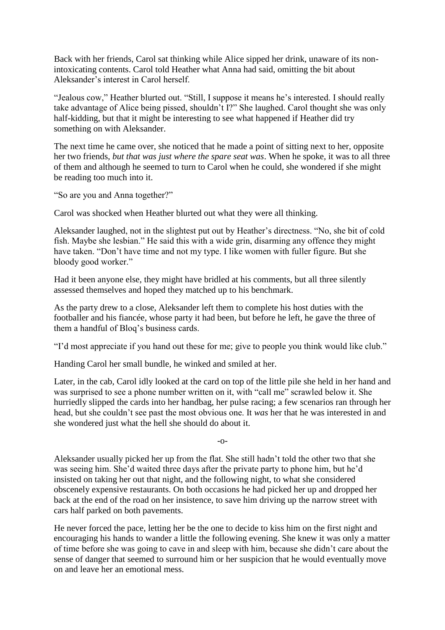Back with her friends, Carol sat thinking while Alice sipped her drink, unaware of its nonintoxicating contents. Carol told Heather what Anna had said, omitting the bit about Aleksander's interest in Carol herself.

"Jealous cow," Heather blurted out. "Still, I suppose it means he's interested. I should really take advantage of Alice being pissed, shouldn't I?" She laughed. Carol thought she was only half-kidding, but that it might be interesting to see what happened if Heather did try something on with Aleksander.

The next time he came over, she noticed that he made a point of sitting next to her, opposite her two friends, *but that was just where the spare seat was*. When he spoke, it was to all three of them and although he seemed to turn to Carol when he could, she wondered if she might be reading too much into it.

"So are you and Anna together?"

Carol was shocked when Heather blurted out what they were all thinking.

Aleksander laughed, not in the slightest put out by Heather's directness. "No, she bit of cold fish. Maybe she lesbian." He said this with a wide grin, disarming any offence they might have taken. "Don't have time and not my type. I like women with fuller figure. But she bloody good worker."

Had it been anyone else, they might have bridled at his comments, but all three silently assessed themselves and hoped they matched up to his benchmark.

As the party drew to a close, Aleksander left them to complete his host duties with the footballer and his fiancée, whose party it had been, but before he left, he gave the three of them a handful of Bloq's business cards.

"I'd most appreciate if you hand out these for me; give to people you think would like club."

Handing Carol her small bundle, he winked and smiled at her.

Later, in the cab, Carol idly looked at the card on top of the little pile she held in her hand and was surprised to see a phone number written on it, with "call me" scrawled below it. She hurriedly slipped the cards into her handbag, her pulse racing; a few scenarios ran through her head, but she couldn't see past the most obvious one. It *was* her that he was interested in and she wondered just what the hell she should do about it.

-o-

Aleksander usually picked her up from the flat. She still hadn't told the other two that she was seeing him. She'd waited three days after the private party to phone him, but he'd insisted on taking her out that night, and the following night, to what she considered obscenely expensive restaurants. On both occasions he had picked her up and dropped her back at the end of the road on her insistence, to save him driving up the narrow street with cars half parked on both pavements.

He never forced the pace, letting her be the one to decide to kiss him on the first night and encouraging his hands to wander a little the following evening. She knew it was only a matter of time before she was going to cave in and sleep with him, because she didn't care about the sense of danger that seemed to surround him or her suspicion that he would eventually move on and leave her an emotional mess.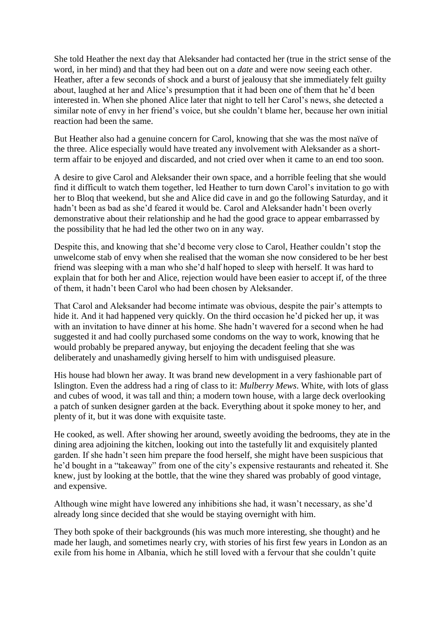She told Heather the next day that Aleksander had contacted her (true in the strict sense of the word, in her mind) and that they had been out on a *date* and were now seeing each other. Heather, after a few seconds of shock and a burst of jealousy that she immediately felt guilty about, laughed at her and Alice's presumption that it had been one of them that he'd been interested in. When she phoned Alice later that night to tell her Carol's news, she detected a similar note of envy in her friend's voice, but she couldn't blame her, because her own initial reaction had been the same.

But Heather also had a genuine concern for Carol, knowing that she was the most naïve of the three. Alice especially would have treated any involvement with Aleksander as a shortterm affair to be enjoyed and discarded, and not cried over when it came to an end too soon.

A desire to give Carol and Aleksander their own space, and a horrible feeling that she would find it difficult to watch them together, led Heather to turn down Carol's invitation to go with her to Bloq that weekend, but she and Alice did cave in and go the following Saturday, and it hadn't been as bad as she'd feared it would be. Carol and Aleksander hadn't been overly demonstrative about their relationship and he had the good grace to appear embarrassed by the possibility that he had led the other two on in any way.

Despite this, and knowing that she'd become very close to Carol, Heather couldn't stop the unwelcome stab of envy when she realised that the woman she now considered to be her best friend was sleeping with a man who she'd half hoped to sleep with herself. It was hard to explain that for both her and Alice, rejection would have been easier to accept if, of the three of them, it hadn't been Carol who had been chosen by Aleksander.

That Carol and Aleksander had become intimate was obvious, despite the pair's attempts to hide it. And it had happened very quickly. On the third occasion he'd picked her up, it was with an invitation to have dinner at his home. She hadn't wavered for a second when he had suggested it and had coolly purchased some condoms on the way to work, knowing that he would probably be prepared anyway, but enjoying the decadent feeling that she was deliberately and unashamedly giving herself to him with undisguised pleasure.

His house had blown her away. It was brand new development in a very fashionable part of Islington. Even the address had a ring of class to it: *Mulberry Mews*. White, with lots of glass and cubes of wood, it was tall and thin; a modern town house, with a large deck overlooking a patch of sunken designer garden at the back. Everything about it spoke money to her, and plenty of it, but it was done with exquisite taste.

He cooked, as well. After showing her around, sweetly avoiding the bedrooms, they ate in the dining area adjoining the kitchen, looking out into the tastefully lit and exquisitely planted garden. If she hadn't seen him prepare the food herself, she might have been suspicious that he'd bought in a "takeaway" from one of the city's expensive restaurants and reheated it. She knew, just by looking at the bottle, that the wine they shared was probably of good vintage, and expensive.

Although wine might have lowered any inhibitions she had, it wasn't necessary, as she'd already long since decided that she would be staying overnight with him.

They both spoke of their backgrounds (his was much more interesting, she thought) and he made her laugh, and sometimes nearly cry, with stories of his first few years in London as an exile from his home in Albania, which he still loved with a fervour that she couldn't quite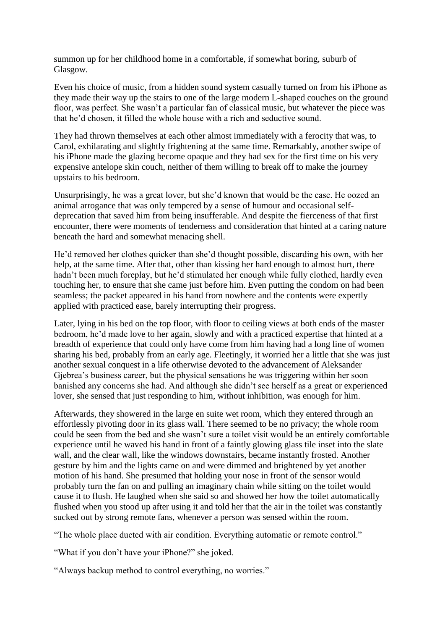summon up for her childhood home in a comfortable, if somewhat boring, suburb of Glasgow.

Even his choice of music, from a hidden sound system casually turned on from his iPhone as they made their way up the stairs to one of the large modern L-shaped couches on the ground floor, was perfect. She wasn't a particular fan of classical music, but whatever the piece was that he'd chosen, it filled the whole house with a rich and seductive sound.

They had thrown themselves at each other almost immediately with a ferocity that was, to Carol, exhilarating and slightly frightening at the same time. Remarkably, another swipe of his iPhone made the glazing become opaque and they had sex for the first time on his very expensive antelope skin couch, neither of them willing to break off to make the journey upstairs to his bedroom.

Unsurprisingly, he was a great lover, but she'd known that would be the case. He oozed an animal arrogance that was only tempered by a sense of humour and occasional selfdeprecation that saved him from being insufferable. And despite the fierceness of that first encounter, there were moments of tenderness and consideration that hinted at a caring nature beneath the hard and somewhat menacing shell.

He'd removed her clothes quicker than she'd thought possible, discarding his own, with her help, at the same time. After that, other than kissing her hard enough to almost hurt, there hadn't been much foreplay, but he'd stimulated her enough while fully clothed, hardly even touching her, to ensure that she came just before him. Even putting the condom on had been seamless; the packet appeared in his hand from nowhere and the contents were expertly applied with practiced ease, barely interrupting their progress.

Later, lying in his bed on the top floor, with floor to ceiling views at both ends of the master bedroom, he'd made love to her again, slowly and with a practiced expertise that hinted at a breadth of experience that could only have come from him having had a long line of women sharing his bed, probably from an early age. Fleetingly, it worried her a little that she was just another sexual conquest in a life otherwise devoted to the advancement of Aleksander Gjebrea's business career, but the physical sensations he was triggering within her soon banished any concerns she had. And although she didn't see herself as a great or experienced lover, she sensed that just responding to him, without inhibition, was enough for him.

Afterwards, they showered in the large en suite wet room, which they entered through an effortlessly pivoting door in its glass wall. There seemed to be no privacy; the whole room could be seen from the bed and she wasn't sure a toilet visit would be an entirely comfortable experience until he waved his hand in front of a faintly glowing glass tile inset into the slate wall, and the clear wall, like the windows downstairs, became instantly frosted. Another gesture by him and the lights came on and were dimmed and brightened by yet another motion of his hand. She presumed that holding your nose in front of the sensor would probably turn the fan on and pulling an imaginary chain while sitting on the toilet would cause it to flush. He laughed when she said so and showed her how the toilet automatically flushed when you stood up after using it and told her that the air in the toilet was constantly sucked out by strong remote fans, whenever a person was sensed within the room.

"The whole place ducted with air condition. Everything automatic or remote control."

"What if you don't have your iPhone?" she joked.

"Always backup method to control everything, no worries."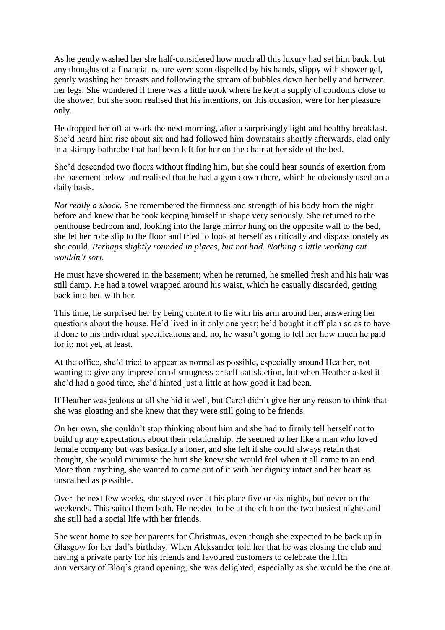As he gently washed her she half-considered how much all this luxury had set him back, but any thoughts of a financial nature were soon dispelled by his hands, slippy with shower gel, gently washing her breasts and following the stream of bubbles down her belly and between her legs. She wondered if there was a little nook where he kept a supply of condoms close to the shower, but she soon realised that his intentions, on this occasion, were for her pleasure only.

He dropped her off at work the next morning, after a surprisingly light and healthy breakfast. She'd heard him rise about six and had followed him downstairs shortly afterwards, clad only in a skimpy bathrobe that had been left for her on the chair at her side of the bed.

She'd descended two floors without finding him, but she could hear sounds of exertion from the basement below and realised that he had a gym down there, which he obviously used on a daily basis.

*Not really a shock*. She remembered the firmness and strength of his body from the night before and knew that he took keeping himself in shape very seriously. She returned to the penthouse bedroom and, looking into the large mirror hung on the opposite wall to the bed, she let her robe slip to the floor and tried to look at herself as critically and dispassionately as she could. *Perhaps slightly rounded in places, but not bad. Nothing a little working out wouldn't sort.*

He must have showered in the basement; when he returned, he smelled fresh and his hair was still damp. He had a towel wrapped around his waist, which he casually discarded, getting back into bed with her.

This time, he surprised her by being content to lie with his arm around her, answering her questions about the house. He'd lived in it only one year; he'd bought it off plan so as to have it done to his individual specifications and, no, he wasn't going to tell her how much he paid for it; not yet, at least.

At the office, she'd tried to appear as normal as possible, especially around Heather, not wanting to give any impression of smugness or self-satisfaction, but when Heather asked if she'd had a good time, she'd hinted just a little at how good it had been.

If Heather was jealous at all she hid it well, but Carol didn't give her any reason to think that she was gloating and she knew that they were still going to be friends.

On her own, she couldn't stop thinking about him and she had to firmly tell herself not to build up any expectations about their relationship. He seemed to her like a man who loved female company but was basically a loner, and she felt if she could always retain that thought, she would minimise the hurt she knew she would feel when it all came to an end. More than anything, she wanted to come out of it with her dignity intact and her heart as unscathed as possible.

Over the next few weeks, she stayed over at his place five or six nights, but never on the weekends. This suited them both. He needed to be at the club on the two busiest nights and she still had a social life with her friends.

She went home to see her parents for Christmas, even though she expected to be back up in Glasgow for her dad's birthday. When Aleksander told her that he was closing the club and having a private party for his friends and favoured customers to celebrate the fifth anniversary of Bloq's grand opening, she was delighted, especially as she would be the one at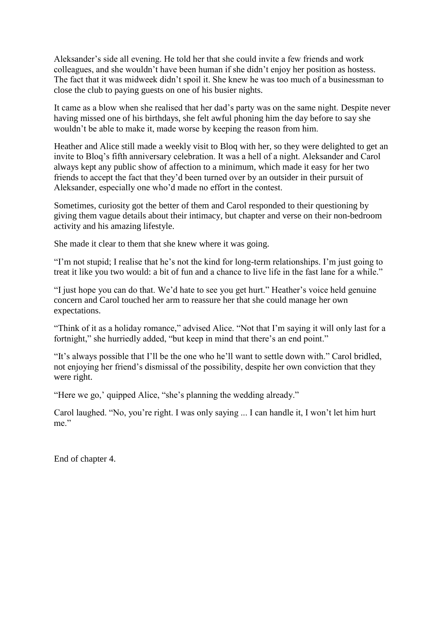Aleksander's side all evening. He told her that she could invite a few friends and work colleagues, and she wouldn't have been human if she didn't enjoy her position as hostess. The fact that it was midweek didn't spoil it. She knew he was too much of a businessman to close the club to paying guests on one of his busier nights.

It came as a blow when she realised that her dad's party was on the same night. Despite never having missed one of his birthdays, she felt awful phoning him the day before to say she wouldn't be able to make it, made worse by keeping the reason from him.

Heather and Alice still made a weekly visit to Bloq with her, so they were delighted to get an invite to Bloq's fifth anniversary celebration. It was a hell of a night. Aleksander and Carol always kept any public show of affection to a minimum, which made it easy for her two friends to accept the fact that they'd been turned over by an outsider in their pursuit of Aleksander, especially one who'd made no effort in the contest.

Sometimes, curiosity got the better of them and Carol responded to their questioning by giving them vague details about their intimacy, but chapter and verse on their non-bedroom activity and his amazing lifestyle.

She made it clear to them that she knew where it was going.

"I'm not stupid; I realise that he's not the kind for long-term relationships. I'm just going to treat it like you two would: a bit of fun and a chance to live life in the fast lane for a while."

"I just hope you can do that. We'd hate to see you get hurt." Heather's voice held genuine concern and Carol touched her arm to reassure her that she could manage her own expectations.

"Think of it as a holiday romance," advised Alice. "Not that I'm saying it will only last for a fortnight," she hurriedly added, "but keep in mind that there's an end point."

"It's always possible that I'll be the one who he'll want to settle down with." Carol bridled, not enjoying her friend's dismissal of the possibility, despite her own conviction that they were right.

"Here we go,' quipped Alice, "she's planning the wedding already."

Carol laughed. "No, you're right. I was only saying ... I can handle it, I won't let him hurt me"

End of chapter 4.